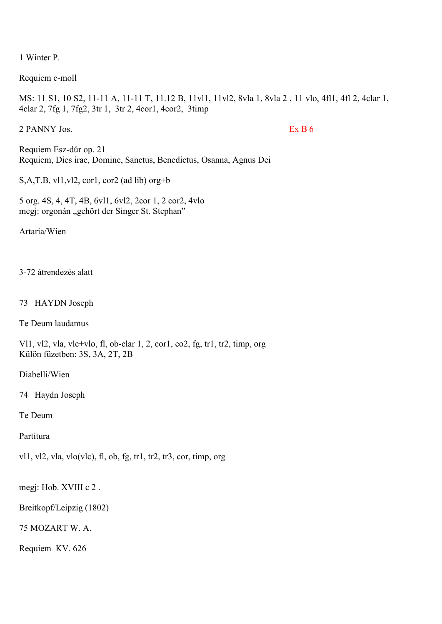1 Winter P.

Requiem c-moll

MS: 11 S1, 10 S2, 11-11 A, 11-11 T, 11.12 B, 11vl1, 11vl2, 8vla 1, 8vla 2 , 11 vlo, 4fl1, 4fl 2, 4clar 1, 4clar 2, 7fg 1, 7fg2, 3tr 1, 3tr 2, 4cor1, 4cor2, 3timp

2 PANNY Jos. Ex B 6

Requiem Esz-dúr op. 21 Requiem, Dies irae, Domine, Sanctus, Benedictus, Osanna, Agnus Dei

S,A,T,B, vl1,vl2, cor1, cor2 (ad lib) org+b

5 org. 4S, 4, 4T, 4B, 6vl1, 6vl2, 2cor 1, 2 cor2, 4vlo megj: orgonán "gehört der Singer St. Stephan"

Artaria/Wien

3-72 átrendezés alatt

73 HAYDN Joseph

Te Deum laudamus

Vl1, vl2, vla, vlc+vlo, fl, ob-clar 1, 2, cor1, co2, fg, tr1, tr2, timp, org Külön füzetben: 3S, 3A, 2T, 2B

Diabelli/Wien

74 Haydn Joseph

Te Deum

Partitura

vl1, vl2, vla, vlo(vlc), fl, ob, fg, tr1, tr2, tr3, cor, timp, org

megj: Hob. XVIII c 2 .

Breitkopf/Leipzig (1802)

75 MOZART W. A.

Requiem KV. 626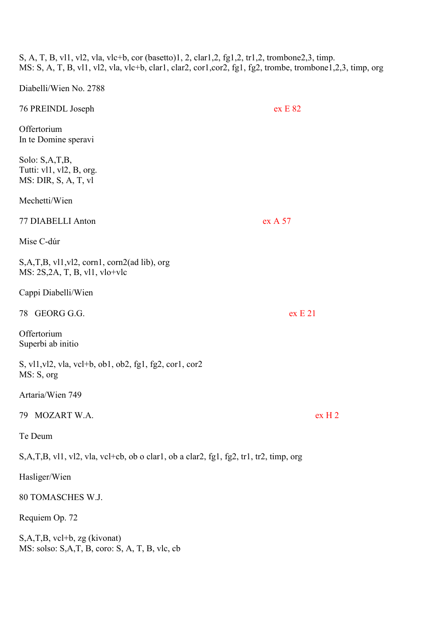S, A, T, B, vl1, vl2, vla, vlc+b, cor (basetto)1, 2, clar1,2, fg1,2, tr1,2, trombone2,3, timp. MS: S, A, T, B, vl1, vl2, vla, vlc+b, clar1, clar2, cor1,cor2, fg1, fg2, trombe, trombone1,2,3, timp, org

Diabelli/Wien No. 2788

| 76 PREINDL Joseph                                                                                                 | ex E 82           |
|-------------------------------------------------------------------------------------------------------------------|-------------------|
| Offertorium<br>In te Domine speravi                                                                               |                   |
| Solo: S,A,T,B,<br>Tutti: vl1, vl2, B, org.<br>MS: DIR, S, A, T, vl                                                |                   |
| Mechetti/Wien                                                                                                     |                   |
| 77 DIABELLI Anton                                                                                                 | ex A 57           |
| Mise C-dúr                                                                                                        |                   |
| $S, A, T, B, v11, v12, \text{corn1}, \text{corn2}(\text{ad lib}), \text{org}$<br>$MS: 2S, 2A, T, B, v11, v10+vlc$ |                   |
| Cappi Diabelli/Wien                                                                                               |                   |
| 78 GEORG G.G.                                                                                                     | ex E 21           |
| Offertorium<br>Superbi ab initio                                                                                  |                   |
| S, vl1, vl2, vla, vcl+b, ob1, ob2, fg1, fg2, cor1, cor2<br>MS: S, org                                             |                   |
| Artaria/Wien 749                                                                                                  |                   |
| 79 MOZART W.A.                                                                                                    | ex <sub>H</sub> 2 |
| Te Deum                                                                                                           |                   |
| S,A,T,B, vl1, vl2, vla, vcl+cb, ob o clar1, ob a clar2, fg1, fg2, tr1, tr2, timp, org                             |                   |
| Hasliger/Wien                                                                                                     |                   |
| 80 TOMASCHES W.J.                                                                                                 |                   |
| Requiem Op. 72                                                                                                    |                   |
| $S, A, T, B, vcl+b, zg$ (kivonat)<br>MS: solso: S,A,T, B, coro: S, A, T, B, vlc, cb                               |                   |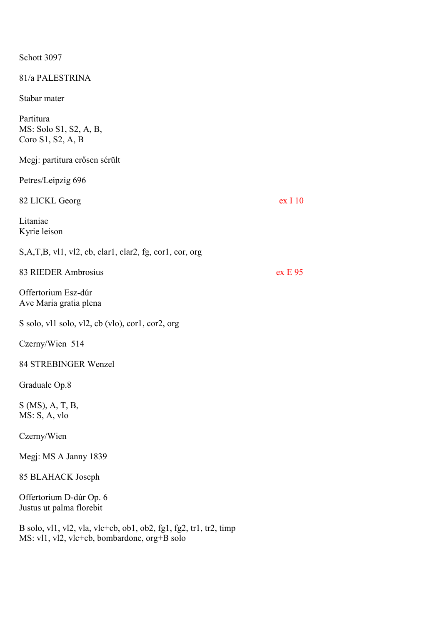Schott 3097

81/a PALESTRINA

Stabar mater

Partitura MS: Solo S1, S2, A, B, Coro S1, S2, A, B

Megj: partitura erősen sérült

Petres/Leipzig 696

82 LICKL Georg ex I 10 Litaniae Kyrie leison S,A,T,B, vl1, vl2, cb, clar1, clar2, fg, cor1, cor, org 83 RIEDER Ambrosius ex E 95 Offertorium Esz-dúr Ave Maria gratia plena S solo, vl1 solo, vl2, cb (vlo), cor1, cor2, org Czerny/Wien 514 84 STREBINGER Wenzel

Graduale Op.8

S (MS), A, T, B, MS: S, A, vlo

Czerny/Wien

Megj: MS A Janny 1839

85 BLAHACK Joseph

Offertorium D-dúr Op. 6 Justus ut palma florebit

B solo, vl1, vl2, vla, vlc+cb, ob1, ob2, fg1, fg2, tr1, tr2, timp MS: vl1, vl2, vlc+cb, bombardone, org+B solo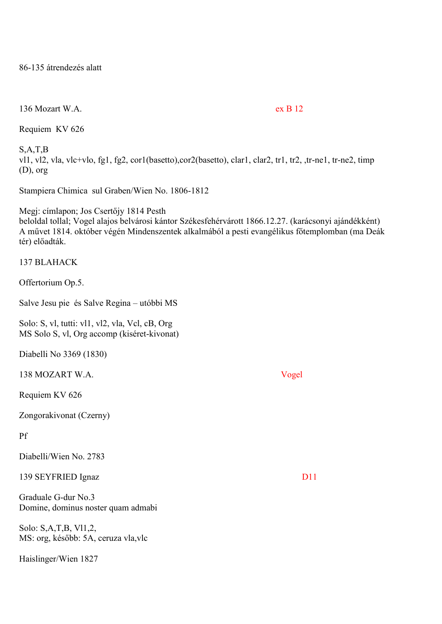86-135 átrendezés alatt

136 Mozart W.A. ex B 12

Requiem KV 626

S,A,T,B vl1, vl2, vla, vlc+vlo, fg1, fg2, cor1(basetto),cor2(basetto), clar1, clar2, tr1, tr2, ,tr-ne1, tr-ne2, timp (D), org

Stampiera Chimica sul Graben/Wien No. 1806-1812

Megj: címlapon; Jos Csertőjy 1814 Pesth beloldal tollal; Vogel alajos belvárosi kántor Székesfehérvárott 1866.12.27. (karácsonyi ajándékként) A művet 1814. október végén Mindenszentek alkalmából a pesti evangélikus főtemplomban (ma Deák tér) előadták.

# 137 BLAHACK

Offertorium Op.5.

Salve Jesu pie és Salve Regina – utóbbi MS

Solo: S, vl, tutti: vl1, vl2, vla, Vcl, cB, Org MS Solo S, vl, Org accomp (kiséret-kivonat)

Diabelli No 3369 (1830)

138 MOZART W.A. Vogel

Requiem KV 626

Zongorakivonat (Czerny)

# Pf

Diabelli/Wien No. 2783

139 SEYFRIED Ignaz D11

Graduale G-dur No.3 Domine, dominus noster quam admabi

Solo: S,A,T,B, Vl1,2, MS: org, később: 5A, ceruza vla,vlc

Haislinger/Wien 1827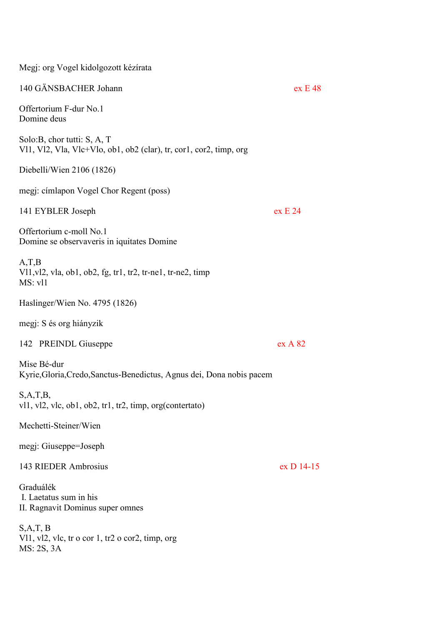| Megj: org Vogel kidolgozott kézírata                                                                                  |            |
|-----------------------------------------------------------------------------------------------------------------------|------------|
| 140 GÄNSBACHER Johann                                                                                                 | ex E 48    |
| Offertorium F-dur No.1<br>Domine deus                                                                                 |            |
| Solo:B, chor tutti: S, A, T<br>V11, V12, Vla, Vlc+Vlo, ob1, ob2 (clar), tr, cor1, cor2, timp, org                     |            |
| Diebelli/Wien 2106 (1826)                                                                                             |            |
| megj: címlapon Vogel Chor Regent (poss)                                                                               |            |
| 141 EYBLER Joseph                                                                                                     | ex E 24    |
| Offertorium c-moll No.1<br>Domine se observaveris in iquitates Domine                                                 |            |
| A, T, B<br>V $11$ , v $12$ , v $1a$ , ob $1$ , ob $2$ , fg, tr $1$ , tr $2$ , tr-ne $1$ , tr-ne $2$ , timp<br>MS: vl1 |            |
| Haslinger/Wien No. 4795 (1826)                                                                                        |            |
| megi: S és org hiányzik                                                                                               |            |
| 142 PREINDL Giuseppe                                                                                                  | ex A 82    |
| Mise Bé-dur<br>Kyrie, Gloria, Credo, Sanctus-Benedictus, Agnus dei, Dona nobis pacem                                  |            |
| S, A, T, B,<br>$v11, v12, v1c, ob1, ob2, tr1, tr2, timp, org(contextato)$                                             |            |
| Mechetti-Steiner/Wien                                                                                                 |            |
| megj: Giuseppe=Joseph                                                                                                 |            |
| 143 RIEDER Ambrosius                                                                                                  | ex D 14-15 |
| Graduálék<br>I. Laetatus sum in his<br>II. Ragnavit Dominus super omnes                                               |            |
| S, A, T, B<br>Vl1, vl2, vlc, tr o cor 1, tr2 o cor2, timp, org<br>MS: 2S, 3A                                          |            |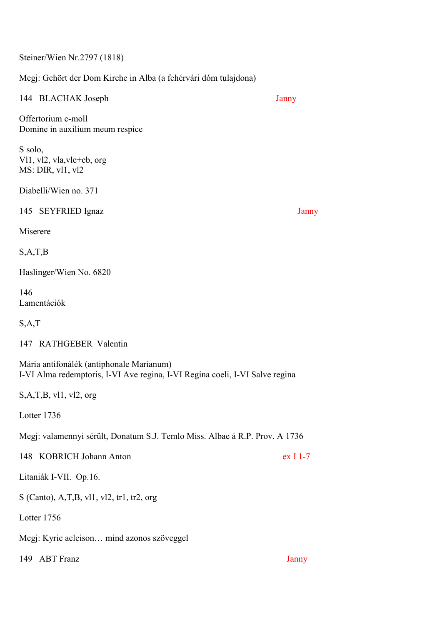Steiner/Wien Nr.2797 (1818)

Megj: Gehört der Dom Kirche in Alba (a fehérvári dóm tulajdona)

| 144 BLACHAK Joseph                                                                                                       | Janny    |
|--------------------------------------------------------------------------------------------------------------------------|----------|
| Offertorium c-moll<br>Domine in auxilium meum respice                                                                    |          |
| S solo,<br>VI1, vI2, vla, vlc+cb, org<br>MS: DIR, vl1, vl2                                                               |          |
| Diabelli/Wien no. 371                                                                                                    |          |
| 145 SEYFRIED Ignaz                                                                                                       | Janny    |
| Miserere                                                                                                                 |          |
| S, A, T, B                                                                                                               |          |
| Haslinger/Wien No. 6820                                                                                                  |          |
| 146<br>Lamentációk                                                                                                       |          |
| S, A, T                                                                                                                  |          |
| 147 RATHGEBER Valentin                                                                                                   |          |
| Mária antifonálék (antiphonale Marianum)<br>I-VI Alma redemptoris, I-VI Ave regina, I-VI Regina coeli, I-VI Salve regina |          |
| S, A, T, B, v11, v12, org                                                                                                |          |
| Lotter 1736                                                                                                              |          |
| Megj: valamennyi sérült, Donatum S.J. Temlo Miss. Albae á R.P. Prov. A 1736                                              |          |
| 148 KOBRICH Johann Anton                                                                                                 | ex I 1-7 |
| Litaniák I-VII. Op.16.                                                                                                   |          |
| $S$ (Canto), A,T,B, vl1, vl2, tr1, tr2, org                                                                              |          |
| Lotter 1756                                                                                                              |          |
| Megj: Kyrie aeleison mind azonos szöveggel                                                                               |          |
| <b>ABT</b> Franz<br>149                                                                                                  | Janny    |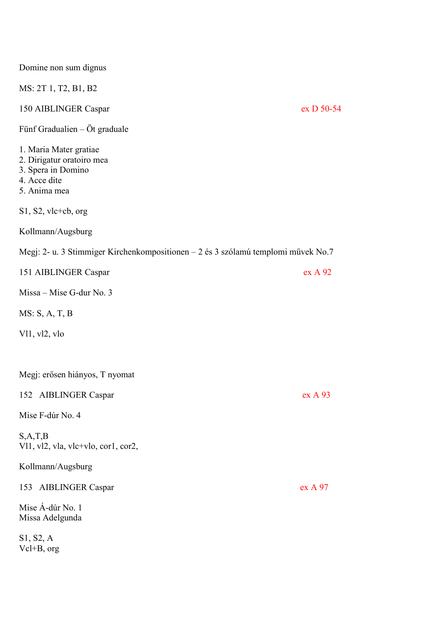| Domine non sum dignus                                                                                     |            |
|-----------------------------------------------------------------------------------------------------------|------------|
| MS: 2T 1, T2, B1, B2                                                                                      |            |
| 150 AIBLINGER Caspar                                                                                      | ex D 50-54 |
| Fünf Gradualien – Öt graduale                                                                             |            |
| 1. Maria Mater gratiae<br>2. Dirigatur oratoiro mea<br>3. Spera in Domino<br>4. Acce dite<br>5. Anima mea |            |
| $S1, S2,$ vlc+cb, org                                                                                     |            |
| Kollmann/Augsburg                                                                                         |            |
| Megj: 2- u. 3 Stimmiger Kirchenkompositionen – 2 és 3 szólamú templomi művek No.7                         |            |
| 151 AIBLINGER Caspar                                                                                      | ex A 92    |
| Missa – Mise G-dur No. 3                                                                                  |            |
| MS: S, A, T, B                                                                                            |            |
| V11, v12, vlo                                                                                             |            |
|                                                                                                           |            |
| Megj: erősen hiányos, T nyomat                                                                            |            |
| 152 AIBLINGER Caspar                                                                                      | ex A 93    |
| Mise F-dúr No. 4                                                                                          |            |
| S, A, T, B<br>VI1, vI2, vla, vlc+vlo, cor1, cor2,                                                         |            |
| Kollmann/Augsburg                                                                                         |            |
| 153 AIBLINGER Caspar                                                                                      | ex A 97    |
| Mise Á-dúr No. 1<br>Missa Adelgunda                                                                       |            |
| S1, S2, A<br>$Vcl + B$ , org                                                                              |            |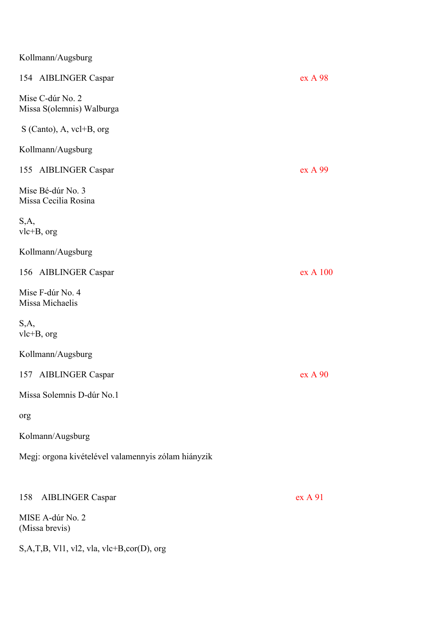| Kollmann/Augsburg |  |
|-------------------|--|
|-------------------|--|

| 154 AIBLINGER Caspar                                | ex A 98  |
|-----------------------------------------------------|----------|
| Mise C-dúr No. 2<br>Missa S(olemnis) Walburga       |          |
| $S$ (Canto), A, vcl+B, org                          |          |
| Kollmann/Augsburg                                   |          |
| 155 AIBLINGER Caspar                                | ex A 99  |
| Mise Bé-dúr No. 3<br>Missa Cecilia Rosina           |          |
| S,A,<br>$vlc + B$ , org                             |          |
| Kollmann/Augsburg                                   |          |
| 156 AIBLINGER Caspar                                | ex A 100 |
| Mise F-dúr No. 4<br>Missa Michaelis                 |          |
| S,A,<br>$vlc+B$ , org                               |          |
| Kollmann/Augsburg                                   |          |
| 157 AIBLINGER Caspar                                | ex A 90  |
| Missa Solemnis D-dúr No.1                           |          |
| org                                                 |          |
| Kolmann/Augsburg                                    |          |
| Megj: orgona kivételével valamennyis zólam hiányzik |          |
|                                                     |          |
| <b>AIBLINGER Caspar</b><br>158                      | ex A 91  |
| MISE A-dúr No. 2                                    |          |

S,A,T,B, Vl1, vl2, vla, vlc+B,cor(D), org

(Missa brevis)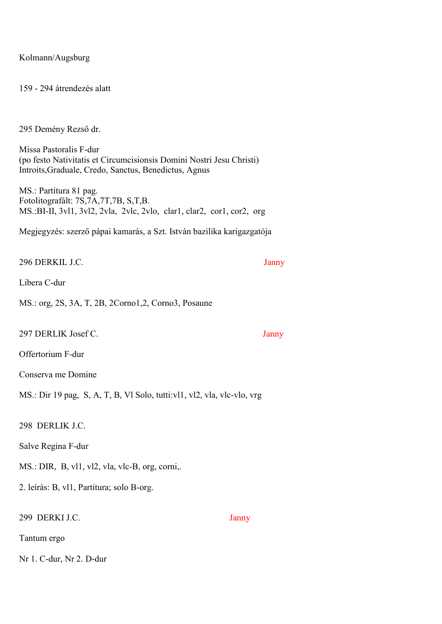Kolmann/Augsburg

159 - 294 átrendezés alatt

295 Demény Rezső dr.

Missa Pastoralis F-dur (po festo Nativitatis et Circumcisionsis Domini Nostri Jesu Christi) Introits,Graduale, Credo, Sanctus, Benedictus, Agnus

MS.: Partitura 81 pag. Fotolitografált: 7S,7A,7T,7B, S,T,B. MS.:BI-II, 3vl1, 3vl2, 2vla, 2vlc, 2vlo, clar1, clar2, cor1, cor2, org

Megjegyzés: szerző pápai kamarás, a Szt. István bazilika karigazgatója

296 DERKIL J.C. Janny

Libera C-dur

MS.: org, 2S, 3A, T, 2B, 2Corno1,2, Corno3, Posaune

297 DERLIK Josef C. Janny

Offertorium F-dur

Conserva me Domine

MS.: Dir 19 pag, S, A, T, B, Vl Solo, tutti:vl1, vl2, vla, vlc-vlo, vrg

298 DERLIK J.C.

Salve Regina F-dur

MS.: DIR, B, vl1, vl2, vla, vlc-B, org, corni,.

2. leírás: B, vl1, Partitura; solo B-org.

299 DERKI J.C. Janny

Tantum ergo

Nr 1. C-dur, Nr 2. D-dur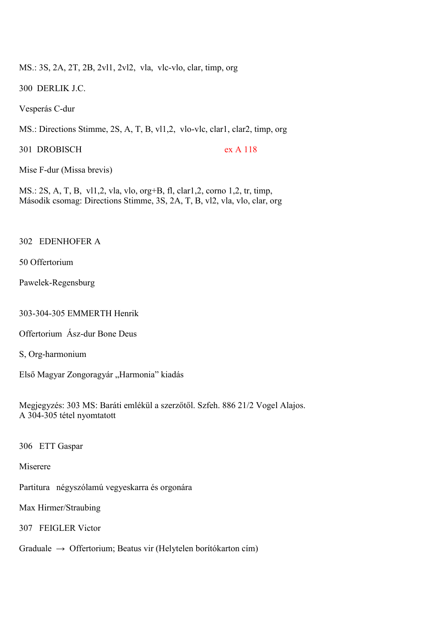MS.: 3S, 2A, 2T, 2B, 2vl1, 2vl2, vla, vlc-vlo, clar, timp, org

300 DERLIK J.C.

Vesperás C-dur

MS.: Directions Stimme, 2S, A, T, B, vl1,2, vlo-vlc, clar1, clar2, timp, org

301 DROBISCH ex A 118

Mise F-dur (Missa brevis)

MS.: 2S, A, T, B, vl1,2, vla, vlo, org+B, fl, clar1,2, corno 1,2, tr, timp, Második csomag: Directions Stimme, 3S, 2A, T, B, vl2, vla, vlo, clar, org

# 302 EDENHOFER A

50 Offertorium

Pawelek-Regensburg

303-304-305 EMMERTH Henrik

Offertorium Ász-dur Bone Deus

S, Org-harmonium

Első Magyar Zongoragyár "Harmonia" kiadás

Megjegyzés: 303 MS: Baráti emlékül a szerzőtől. Szfeh. 886 21/2 Vogel Alajos. A 304-305 tétel nyomtatott

306 ETT Gaspar

Miserere

Partitura négyszólamú vegyeskarra és orgonára

Max Hirmer/Straubing

307 FEIGLER Victor

Graduale  $\rightarrow$  Offertorium; Beatus vir (Helytelen borítókarton cím)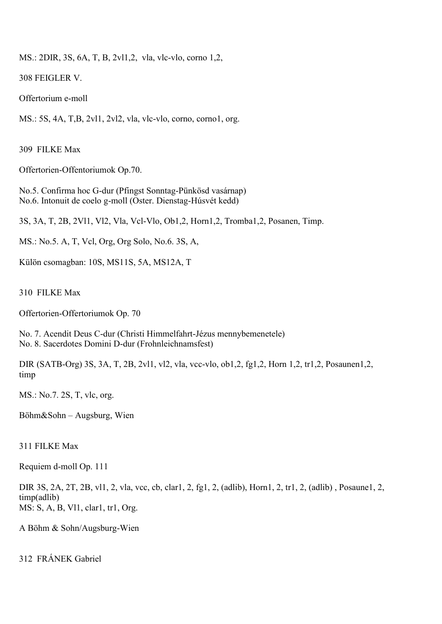MS.: 2DIR, 3S, 6A, T, B, 2vl1,2, vla, vlc-vlo, corno 1,2,

308 FEIGLER V.

Offertorium e-moll

MS.: 5S, 4A, T,B, 2vl1, 2vl2, vla, vlc-vlo, corno, corno1, org.

309 FILKE Max

Offertorien-Offentoriumok Op.70.

No.5. Confirma hoc G-dur (Pfingst Sonntag-Pünkösd vasárnap) No.6. Intonuit de coelo g-moll (Oster. Dienstag-Húsvét kedd)

3S, 3A, T, 2B, 2Vl1, Vl2, Vla, Vcl-Vlo, Ob1,2, Horn1,2, Tromba1,2, Posanen, Timp.

MS.: No.5. A, T, Vcl, Org, Org Solo, No.6. 3S, A,

Külön csomagban: 10S, MS11S, 5A, MS12A, T

310 FILKE Max

Offertorien-Offertoriumok Op. 70

No. 7. Acendit Deus C-dur (Christi Himmelfahrt-Jézus mennybemenetele) No. 8. Sacerdotes Domini D-dur (Frohnleichnamsfest)

DIR (SATB-Org) 3S, 3A, T, 2B, 2vl1, vl2, vla, vcc-vlo, ob1,2, fg1,2, Horn 1,2, tr1,2, Posaunen1,2, timp

MS.: No.7. 2S, T, vlc, org.

Böhm&Sohn – Augsburg, Wien

# 311 FILKE Max

Requiem d-moll Op. 111

DIR 3S, 2A, 2T, 2B, vl1, 2, vla, vcc, cb, clar1, 2, fg1, 2, (adlib), Horn1, 2, tr1, 2, (adlib) , Posaune1, 2, timp(adlib) MS: S, A, B, Vl1, clar1, tr1, Org.

A Böhm & Sohn/Augsburg-Wien

312 FRÁNEK Gabriel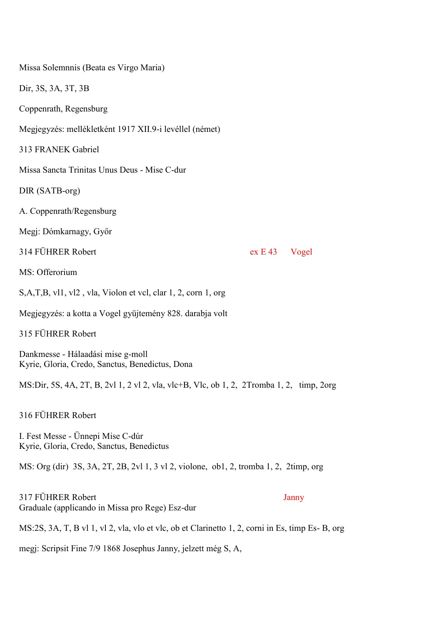Missa Solemnnis (Beata es Virgo Maria) Dir, 3S, 3A, 3T, 3B Coppenrath, Regensburg Megjegyzés: mellékletként 1917 XII.9-i levéllel (német) 313 FRANEK Gabriel Missa Sancta Trinitas Unus Deus - Mise C-dur DIR (SATB-org) A. Coppenrath/Regensburg Megj: Dómkarnagy, Győr 314 FÜHRER Robert ex E 43 Vogel MS: Offerorium S,A,T,B, vl1, vl2 , vla, Violon et vcl, clar 1, 2, corn 1, org Megjegyzés: a kotta a Vogel gyüjtemény 828. darabja volt 315 FÜHRER Robert Dankmesse - Hálaadási mise g-moll Kyrie, Gloria, Credo, Sanctus, Benedictus, Dona MS:Dir, 5S, 4A, 2T, B, 2vl 1, 2 vl 2, vla, vlc+B, Vlc, ob 1, 2, 2Tromba 1, 2, timp, 2org 316 FÜHRER Robert I. Fest Messe - Ünnepi Mise C-dúr Kyrie, Gloria, Credo, Sanctus, Benedictus MS: Org (dir) 3S, 3A, 2T, 2B, 2vl 1, 3 vl 2, violone, ob1, 2, tromba 1, 2, 2timp, org 317 FÜHRER Robert Janny Graduale (applicando in Missa pro Rege) Esz-dur

MS:2S, 3A, T, B vl 1, vl 2, vla, vlo et vlc, ob et Clarinetto 1, 2, corni in Es, timp Es- B, org

megj: Scripsit Fine 7/9 1868 Josephus Janny, jelzett még S, A,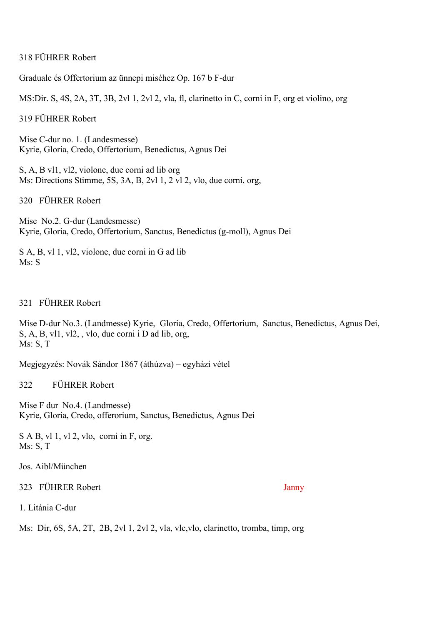# 318 FÜHRER Robert

Graduale és Offertorium az ünnepi miséhez Op. 167 b F-dur

MS:Dir. S, 4S, 2A, 3T, 3B, 2vl 1, 2vl 2, vla, fl, clarinetto in C, corni in F, org et violino, org

319 FÜHRER Robert

Mise C-dur no. 1. (Landesmesse) Kyrie, Gloria, Credo, Offertorium, Benedictus, Agnus Dei

S, A, B vl1, vl2, violone, due corni ad lib org Ms: Directions Stimme, 5S, 3A, B, 2vl 1, 2 vl 2, vlo, due corni, org,

320 FÜHRER Robert

Mise No.2. G-dur (Landesmesse) Kyrie, Gloria, Credo, Offertorium, Sanctus, Benedictus (g-moll), Agnus Dei

S A, B, vl 1, vl2, violone, due corni in G ad lib Ms: S

# 321 FÜHRER Robert

Mise D-dur No.3. (Landmesse) Kyrie, Gloria, Credo, Offertorium, Sanctus, Benedictus, Agnus Dei, S, A, B, vl1, vl2, , vlo, due corni i D ad lib, org, Ms: S, T

Megjegyzés: Novák Sándor 1867 (áthúzva) – egyházi vétel

322 FÜHRER Robert

Mise F dur No.4. (Landmesse) Kyrie, Gloria, Credo, offerorium, Sanctus, Benedictus, Agnus Dei

S A B, vl 1, vl 2, vlo, corni in F, org. Ms: S, T

Jos. Aibl/München

323 FÜHRER Robert Janny

1. Litánia C-dur

Ms: Dir, 6S, 5A, 2T, 2B, 2vl 1, 2vl 2, vla, vlc,vlo, clarinetto, tromba, timp, org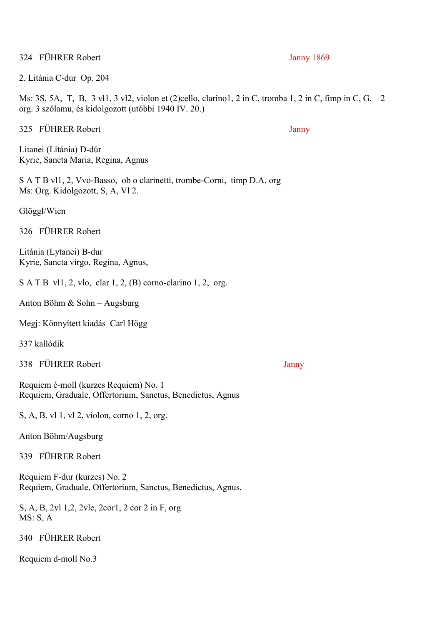324 FÜHRER Robert Janny 1869

2. Litánia C-dur Op. 204

Ms: 3S, 5A, T, B, 3 vl1, 3 vl2, violon et (2)cello, clarino1, 2 in C, tromba 1, 2 in C, fimp in C, G, 2 org. 3 szólamu, és kidolgozott (utóbbi 1940 IV. 20.)

325 FÜHRER Robert Janny

Litanei (Litánia) D-dúr Kyrie, Sancta Maria, Regina, Agnus

S A T B vl1, 2, Vvo-Basso, ob o clarinetti, trombe-Corni, timp D.A, org Ms: Org. Kidolgozott, S, A, Vl 2.

Glöggl/Wien

326 FÜHRER Robert

Litánia (Lytanei) B-dur Kyrie, Sancta virgo, Regina, Agnus,

S A T B vl1, 2, vlo, clar 1, 2, (B) corno-clarino 1, 2, org.

Anton Böhm & Sohn – Augsburg

Megj: Könnyített kiadás Carl Högg

337 kallódik

338 FÜHRER Robert Janny

Requiem é-moll (kurzes Requiem) No. 1 Requiem, Graduale, Offertorium, Sanctus, Benedictus, Agnus

S, A, B, vl 1, vl 2, violon, corno 1, 2, org.

Anton Böhm/Augsburg

339 FÜHRER Robert

Requiem F-dur (kurzes) No. 2 Requiem, Graduale, Offertorium, Sanctus, Benedictus, Agnus,

S, A, B, 2vl 1,2, 2vle, 2cor1, 2 cor 2 in F, org MS: S, A

340 FÜHRER Robert

Requiem d-moll No.3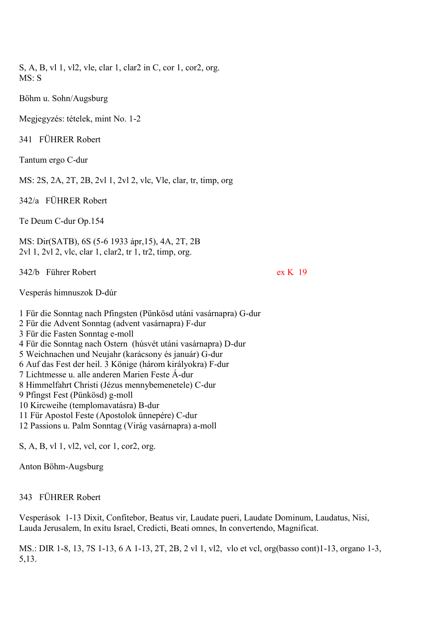S, A, B, vl 1, vl2, vle, clar 1, clar2 in C, cor 1, cor2, org. MS: S

Böhm u. Sohn/Augsburg

Megjegyzés: tételek, mint No. 1-2

341 FÜHRER Robert

Tantum ergo C-dur

MS: 2S, 2A, 2T, 2B, 2vl 1, 2vl 2, vlc, Vle, clar, tr, timp, org

342/a FÜHRER Robert

Te Deum C-dur Op.154

MS: Dir(SATB), 6S (5-6 1933 ápr,15), 4A, 2T, 2B 2vl 1, 2vl 2, vlc, clar 1, clar2, tr 1, tr2, timp, org.

342/b Führer Robert ex K 19

Vesperás himnuszok D-dúr

1 Für die Sonntag nach Pfingsten (Pünkösd utáni vasárnapra) G-dur 2 Für die Advent Sonntag (advent vasárnapra) F-dur 3 Für die Fasten Sonntag e-moll 4 Für die Sonntag nach Ostern (húsvét utáni vasárnapra) D-dur 5 Weichnachen und Neujahr (karácsony és január) G-dur 6 Auf das Fest der heil. 3 Könige (három királyokra) F-dur 7 Lichtmesse u. alle anderen Marien Feste Á-dur 8 Himmelfahrt Christi (Jézus mennybemenetele) C-dur 9 Pfingst Fest (Pünkösd) g-moll 10 Kircweihe (templomavatásra) B-dur 11 Für Apostol Feste (Apostolok ünnepére) C-dur 12 Passions u. Palm Sonntag (Virág vasárnapra) a-moll S, A, B, vl 1, vl2, vcl, cor 1, cor2, org.

Anton Böhm-Augsburg

343 FÜHRER Robert

Vesperások 1-13 Dixit, Confitebor, Beatus vir, Laudate pueri, Laudate Dominum, Laudatus, Nisi, Lauda Jerusalem, In exitu Israel, Credicti, Beati omnes, In convertendo, Magnificat.

MS.: DIR 1-8, 13, 7S 1-13, 6 A 1-13, 2T, 2B, 2 vl 1, vl2, vlo et vcl, org(basso cont)1-13, organo 1-3, 5,13.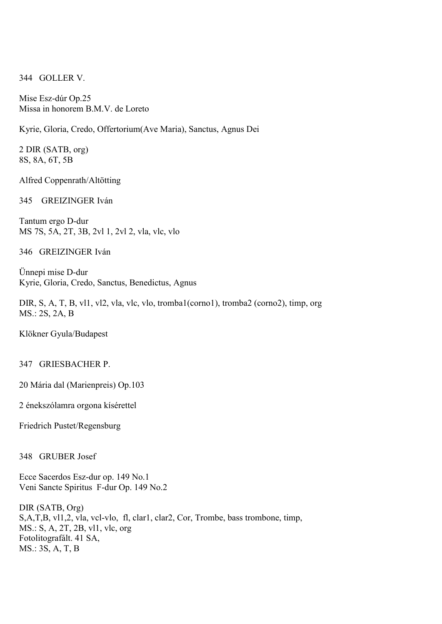344 GOLLER V.

Mise Esz-dúr Op.25 Missa in honorem B.M.V. de Loreto

Kyrie, Gloria, Credo, Offertorium(Ave Maria), Sanctus, Agnus Dei

2 DIR (SATB, org) 8S, 8A, 6T, 5B

Alfred Coppenrath/Altötting

345 GREIZINGER Iván

Tantum ergo D-dur MS 7S, 5A, 2T, 3B, 2vl 1, 2vl 2, vla, vlc, vlo

346 GREIZINGER Iván

Ünnepi mise D-dur Kyrie, Gloria, Credo, Sanctus, Benedictus, Agnus

DIR, S, A, T, B, vl1, vl2, vla, vlc, vlo, tromba1(corno1), tromba2 (corno2), timp, org MS.: 2S, 2A, B

Klökner Gyula/Budapest

347 GRIESBACHER P.

20 Mária dal (Marienpreis) Op.103

2 énekszólamra orgona kísérettel

Friedrich Pustet/Regensburg

348 GRUBER Josef

Ecce Sacerdos Esz-dur op. 149 No.1 Veni Sancte Spiritus F-dur Op. 149 No.2

DIR (SATB, Org) S,A,T,B, vl1,2, vla, vcl-vlo, fl, clar1, clar2, Cor, Trombe, bass trombone, timp, MS.: S, A, 2T, 2B, vl1, vlc, org Fotolitografált. 41 SA, MS.: 3S, A, T, B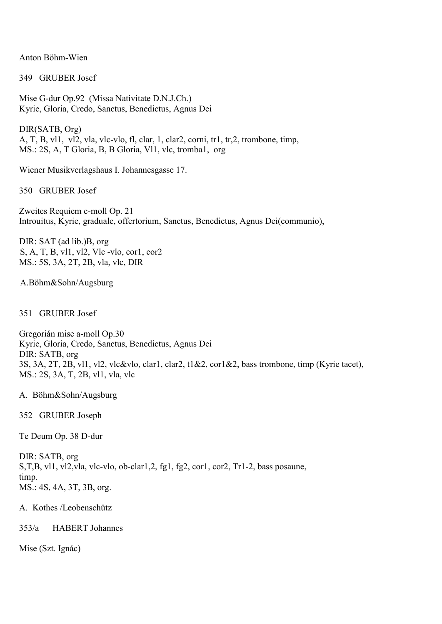Anton Böhm-Wien

349 GRUBER Josef

Mise G-dur Op.92 (Missa Nativitate D.N.J.Ch.) Kyrie, Gloria, Credo, Sanctus, Benedictus, Agnus Dei

DIR(SATB, Org) A, T, B, vl1, vl2, vla, vlc-vlo, fl, clar, 1, clar2, corni, tr1, tr,2, trombone, timp, MS.: 2S, A, T Gloria, B, B Gloria, Vl1, vlc, tromba1, org

Wiener Musikverlagshaus I. Johannesgasse 17.

350 GRUBER Josef

Zweites Requiem c-moll Op. 21 Introuitus, Kyrie, graduale, offertorium, Sanctus, Benedictus, Agnus Dei(communio),

DIR: SAT (ad lib.)B, org S, A, T, B, vl1, vl2, Vlc -vlo, cor1, cor2 MS.: 5S, 3A, 2T, 2B, vla, vlc, DIR

A.Böhm&Sohn/Augsburg

351 GRUBER Josef

Gregorián mise a-moll Op.30 Kyrie, Gloria, Credo, Sanctus, Benedictus, Agnus Dei DIR: SATB, org 3S, 3A, 2T, 2B, vl1, vl2, vlc&vlo, clar1, clar2, t1&2, cor1&2, bass trombone, timp (Kyrie tacet), MS.: 2S, 3A, T, 2B, vl1, vla, vlc

A. Böhm&Sohn/Augsburg

352 GRUBER Joseph

Te Deum Op. 38 D-dur

DIR: SATB, org S,T,B, vl1, vl2,vla, vlc-vlo, ob-clar1,2, fg1, fg2, cor1, cor2, Tr1-2, bass posaune, timp. MS.: 4S, 4A, 3T, 3B, org.

A. Kothes /Leobenschütz

353/a HABERT Johannes

Mise (Szt. Ignác)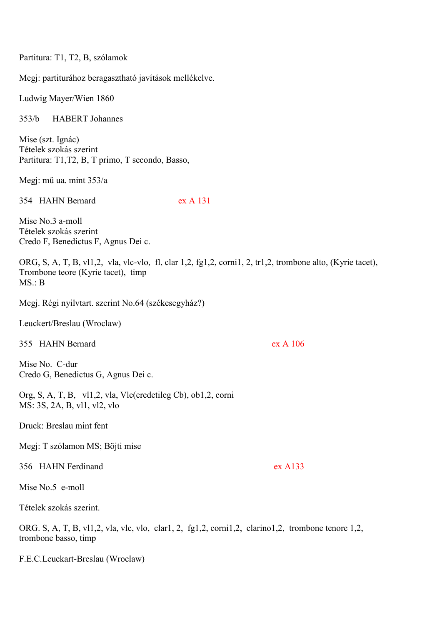Partitura: T1, T2, B, szólamok

Megj: partiturához beragasztható javítások mellékelve.

Ludwig Mayer/Wien 1860

353/b HABERT Johannes

Mise (szt. Ignác) Tételek szokás szerint Partitura: T1,T2, B, T primo, T secondo, Basso,

Megj: mű ua. mint 353/a

354 HAHN Bernard ex A 131

Mise No. 3 a-moll Tételek szokás szerint Credo F, Benedictus F, Agnus Dei c.

ORG, S, A, T, B, vl1,2, vla, vlc-vlo, fl, clar 1,2, fg1,2, corni1, 2, tr1,2, trombone alto, (Kyrie tacet), Trombone teore (Kyrie tacet), timp MS.: B

Megj. Régi nyilvtart. szerint No.64 (székesegyház?)

Leuckert/Breslau (Wroclaw)

355 HAHN Bernard ex A 106

Mise No. C-dur Credo G, Benedictus G, Agnus Dei c.

Org, S, A, T, B, vl1,2, vla, Vlc(eredetileg Cb), ob1,2, corni MS: 3S, 2A, B, vl1, vl2, vlo

Druck: Breslau mint fent

Megj: T szólamon MS; Böjti mise

356 HAHN Ferdinand ex A133

Mise No.5 e-moll

Tételek szokás szerint.

ORG. S, A, T, B, vl1,2, vla, vlc, vlo, clar1, 2, fg1,2, corni1,2, clarino1,2, trombone tenore 1,2, trombone basso, timp

F.E.C.Leuckart-Breslau (Wroclaw)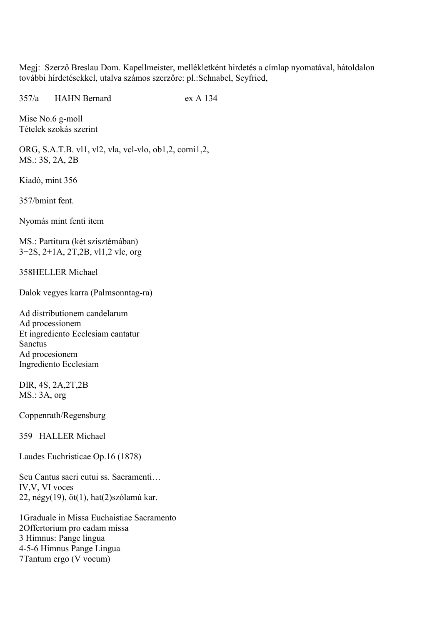Megj: Szerző Breslau Dom. Kapellmeister, mellékletként hirdetés a címlap nyomatával, hátoldalon további hírdetésekkel, utalva számos szerzőre: pl.:Schnabel, Seyfried,

357/a HAHN Bernard ex A 134

Mise No.6 g-moll Tételek szokás szerint

ORG, S.A.T.B. vl1, vl2, vla, vcl-vlo, ob1,2, corni1,2, MS.: 3S, 2A, 2B

Kiadó, mint 356

357/bmint fent.

Nyomás mint fenti item

MS.: Partitura (két szisztémában) 3+2S, 2+1A, 2T,2B, vl1,2 vlc, org

358HELLER Michael

Dalok vegyes karra (Palmsonntag-ra)

Ad distributionem candelarum Ad processionem Et ingrediento Ecclesiam cantatur Sanctus Ad procesionem Ingrediento Ecclesiam

DIR, 4S, 2A,2T,2B MS.: 3A, org

Coppenrath/Regensburg

359 HALLER Michael

Laudes Euchristicae Op.16 (1878)

Seu Cantus sacri cutui ss. Sacramenti… IV,V, VI voces 22, négy(19), öt(1), hat(2)szólamú kar.

1Graduale in Missa Euchaistiae Sacramento 2Offertorium pro eadam missa 3 Himnus: Pange lingua 4-5-6 Himnus Pange Lingua 7Tantum ergo (V vocum)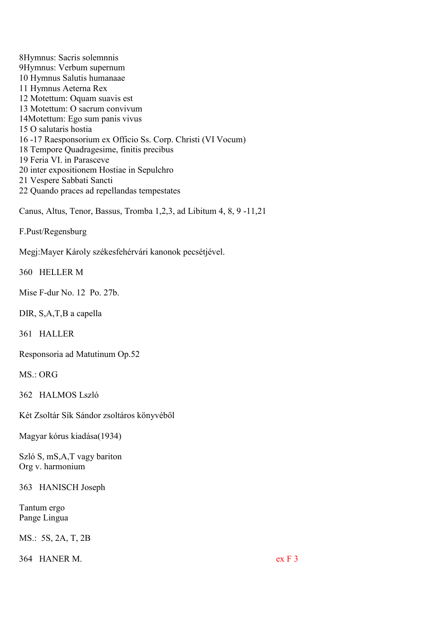8Hymnus: Sacris solemnnis 9Hymnus: Verbum supernum 10 Hymnus Salutis humanaae 11 Hymnus Aeterna Rex 12 Motettum: Oquam suavis est 13 Motettum: O sacrum convivum 14Motettum: Ego sum panis vivus 15 O salutaris hostia 16 -17 Raesponsorium ex Officio Ss. Corp. Christi (VI Vocum) 18 Tempore Quadragesime, finitis precibus 19 Feria VI. in Parasceve 20 inter expositionem Hostiae in Sepulchro 21 Vespere Sabbati Sancti 22 Quando praces ad repellandas tempestates

Canus, Altus, Tenor, Bassus, Tromba 1,2,3, ad Libitum 4, 8, 9 -11,21

F.Pust/Regensburg

Megj:Mayer Károly székesfehérvári kanonok pecsétjével.

360 HELLER M

Mise F-dur No. 12 Po. 27b.

DIR, S,A,T,B a capella

361 HALLER

Responsoria ad Matutinum Op.52

 $MS \cdot ORG$ 

362 HALMOS Lszló

Két Zsoltár Sík Sándor zsoltáros könyvéből

Magyar kórus kiadása(1934)

Szló S, mS,A,T vagy bariton Org v. harmonium

363 HANISCH Joseph

Tantum ergo Pange Lingua

MS.: 5S, 2A, T, 2B

364 HANER M. ex F 3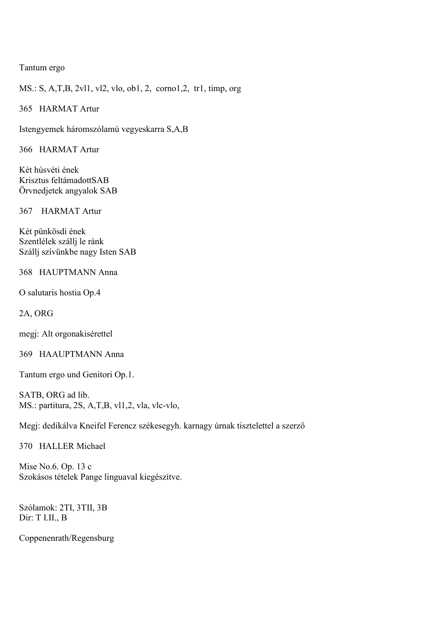# Tantum ergo

MS.: S, A,T,B, 2vl1, vl2, vlo, ob1, 2, corno1,2, tr1, timp, org

365 HARMAT Artur

Istengyemek háromszólamú vegyeskarra S,A,B

366 HARMAT Artur

Két húsvéti ének Krisztus feltámadottSAB Örvnedjetek angyalok SAB

367 HARMAT Artur

Két pünkösdi ének Szentlélek szállj le ránk Szállj szívünkbe nagy Isten SAB

368 HAUPTMANN Anna

O salutaris hostia Op.4

2A, ORG

megj: Alt orgonakisérettel

369 HAAUPTMANN Anna

Tantum ergo und Genitori Op.1.

SATB, ORG ad lib. MS.: partitura, 2S, A,T,B, vl1,2, vla, vlc-vlo,

Megj: dedikálva Kneifel Ferencz székesegyh. karnagy úrnak tisztelettel a szerző

370 HALLER Michael

Mise No.6. Op. 13 c Szokásos tételek Pange linguaval kiegészítve.

Szólamok: 2TI, 3TII, 3B Dir: T I.II., B

Coppenenrath/Regensburg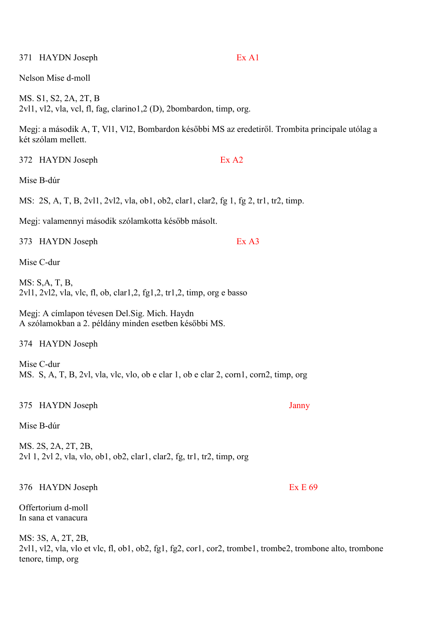Nelson Mise d-moll

MS. S1, S2, 2A, 2T, B 2vl1, vl2, vla, vcl, fl, fag, clarino1,2 (D), 2bombardon, timp, org.

Megj: a második A, T, Vl1, Vl2, Bombardon későbbi MS az eredetiről. Trombita principale utólag a két szólam mellett.

372 HAYDN Joseph Ex A2

MS: 2S, A, T, B, 2vl1, 2vl2, vla, ob1, ob2, clar1, clar2, fg 1, fg 2, tr1, tr2, timp.

Megj: valamennyi második szólamkotta később másolt.

373 HAYDN Joseph Ex A3

Mise C-dur

Mise B-dúr

MS: S,A, T, B, 2vl1, 2vl2, vla, vlc, fl, ob, clar1,2, fg1,2, tr1,2, timp, org e basso

Megj: A címlapon tévesen Del.Sig. Mich. Haydn A szólamokban a 2. példány minden esetben későbbi MS.

374 HAYDN Joseph

Mise C-dur MS. S, A, T, B, 2vl, vla, vlc, vlo, ob e clar 1, ob e clar 2, corn1, corn2, timp, org

#### 375 HAYDN Joseph Janny

Mise B-dúr

MS. 2S, 2A, 2T, 2B, 2vl 1, 2vl 2, vla, vlo, ob1, ob2, clar1, clar2, fg, tr1, tr2, timp, org

376 HAYDN Joseph Ex E 69

Offertorium d-moll In sana et vanacura

MS: 3S, A, 2T, 2B, 2vl1, vl2, vla, vlo et vlc, fl, ob1, ob2, fg1, fg2, cor1, cor2, trombe1, trombe2, trombone alto, trombone tenore, timp, org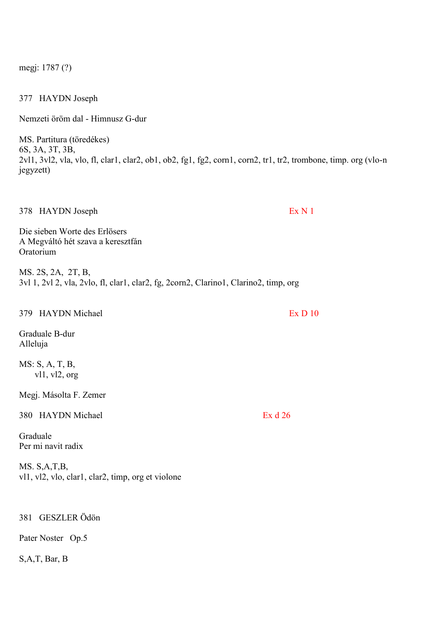megj: 1787 (?)

377 HAYDN Joseph

Nemzeti öröm dal - Himnusz G-dur

MS. Partitura (töredékes) 6S, 3A, 3T, 3B, 2vl1, 3vl2, vla, vlo, fl, clar1, clar2, ob1, ob2, fg1, fg2, corn1, corn2, tr1, tr2, trombone, timp. org (vlo-n jegyzett)

378 HAYDN Joseph Ex N 1

Die sieben Worte des Erlösers A Megváltó hét szava a keresztfán **Oratorium** 

MS. 2S, 2A, 2T, B, 3vl 1, 2vl 2, vla, 2vlo, fl, clar1, clar2, fg, 2corn2, Clarino1, Clarino2, timp, org

| 379 HAYDN Michael                                                 | Ex D 10   |
|-------------------------------------------------------------------|-----------|
| Graduale B-dur<br>Alleluja                                        |           |
| MS: S, A, T, B,<br>v11, v12, org                                  |           |
| Megj. Másolta F. Zemer                                            |           |
| <b>HAYDN</b> Michael<br>380                                       | Ex $d$ 26 |
| Graduale<br>Per mi navit radix                                    |           |
| MS. S.A.T.B.<br>vl1, vl2, vlo, clar1, clar2, timp, org et violone |           |
|                                                                   |           |

# 381 GESZLER Ödön

Pater Noster Op.5

# S,A,T, Bar, B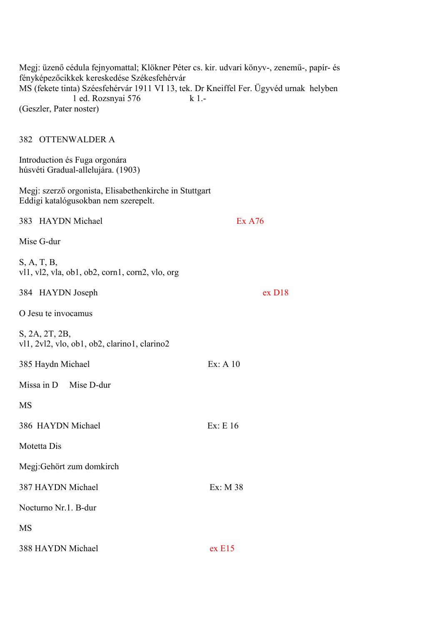Megj: üzenő cédula fejnyomattal; Klökner Péter cs. kir. udvari könyv-, zenemű-, papír- és fényképezőcikkek kereskedése Székesfehérvár MS (fekete tinta) Széesfehérvár 1911 VI 13, tek. Dr Kneiffel Fer. Ügyvéd urnak helyben 1 ed. Rozsnyai 576 k 1.- (Geszler, Pater noster)

#### 382 OTTENWALDER A

Introduction és Fuga orgonára húsvéti Gradual-allelujára. (1903)

Megj: szerző orgonista, Elisabethenkirche in Stuttgart Eddigi katalógusokban nem szerepelt.

| 383 HAYDN Michael                                              | <b>Ex A76</b> |
|----------------------------------------------------------------|---------------|
| Mise G-dur                                                     |               |
| S, A, T, B,<br>vl1, vl2, vla, ob1, ob2, corn1, corn2, vlo, org |               |
| 384 HAYDN Joseph                                               | ex D18        |
| O Jesu te invocamus                                            |               |
| S, 2A, 2T, 2B,<br>vl1, 2vl2, vlo, ob1, ob2, clarino1, clarino2 |               |
| 385 Haydn Michael                                              | Ex: A 10      |
| Missa in D Mise D-dur                                          |               |
| <b>MS</b>                                                      |               |
| 386 HAYDN Michael                                              | Ex: E 16      |
| Motetta Dis                                                    |               |
| Megj:Gehört zum domkirch                                       |               |
| 387 HAYDN Michael                                              | Ex: M 38      |
| Nocturno Nr.1. B-dur                                           |               |
| <b>MS</b>                                                      |               |
| 388 HAYDN Michael                                              | ex E15        |
|                                                                |               |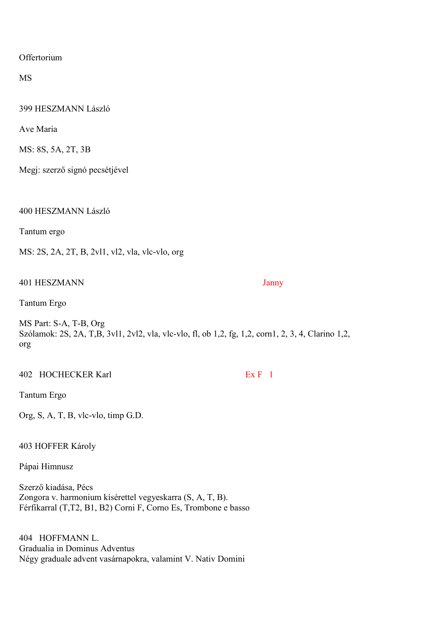**Offertorium** 

MS

399 HESZMANN László

Ave Maria

MS: 8S, 5A, 2T, 3B

Megj: szerző signó pecsétjével

400 HESZMANN László

Tantum ergo

MS: 2S, 2A, 2T, B, 2vl1, vl2, vla, vlc-vlo, org

401 HESZMANN Janny

Tantum Ergo

MS Part: S-A, T-B, Org Szólamok: 2S, 2A, T,B, 3vl1, 2vl2, vla, vlc-vlo, fl, ob 1,2, fg, 1,2, corn1, 2, 3, 4, Clarino 1,2, org

402 HOCHECKER Karl Ex F 1

Tantum Ergo

Org, S, A, T, B, vlc-vlo, timp G.D.

403 HOFFER Károly

Pápai Himnusz

Szerző kiadása, Pécs Zongora v. harmonium kísérettel vegyeskarra (S, A, T, B). Férfikarral (T,T2, B1, B2) Corni F, Corno Es, Trombone e basso

404 HOFFMANN L. Gradualia in Dominus Adventus Négy graduale advent vasárnapokra, valamint V. Nativ Domini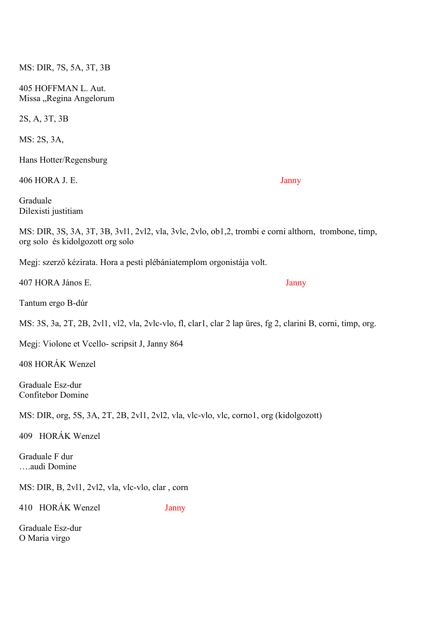Missa "Regina Angelorum 2S, A, 3T, 3B MS: 2S, 3A, Hans Hotter/Regensburg 406 HORA J. E. Janny Graduale Dilexisti justitiam MS: DIR, 3S, 3A, 3T, 3B, 3vl1, 2vl2, vla, 3vlc, 2vlo, ob1,2, trombi e corni althorn, trombone, timp, org solo és kidolgozott org solo Megj: szerző kézírata. Hora a pesti plébániatemplom orgonistája volt. 407 HORA János E. Janny Tantum ergo B-dúr MS: 3S, 3a, 2T, 2B, 2vl1, vl2, vla, 2vlc-vlo, fl, clar1, clar 2 lap üres, fg 2, clarini B, corni, timp, org. Megj: Violone et Vcello- scripsit J, Janny 864 408 HORÁK Wenzel Graduale Esz-dur Confitebor Domine MS: DIR, org, 5S, 3A, 2T, 2B, 2vl1, 2vl2, vla, vlc-vlo, vlc, corno1, org (kidolgozott) 409 HORÁK Wenzel Graduale F dur ….audi Domine MS: DIR, B, 2vl1, 2vl2, vla, vlc-vlo, clar , corn 410 HORÁK Wenzel Janny Graduale Esz-dur

O Maria virgo

MS: DIR, 7S, 5A, 3T, 3B

405 HOFFMAN L. Aut.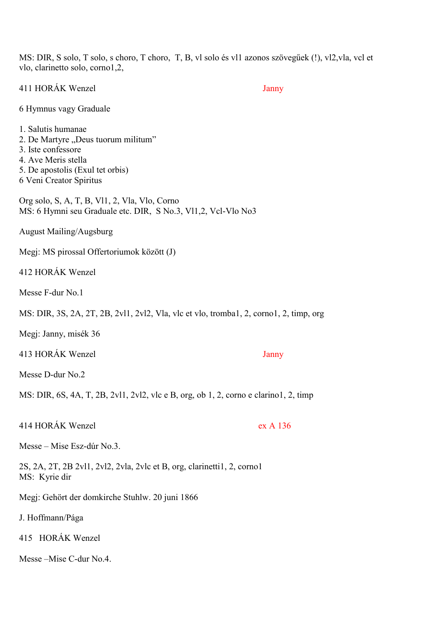MS: DIR, S solo, T solo, s choro, T choro, T, B, vl solo és vl1 azonos szövegűek (!), vl2,vla, vcl et vlo, clarinetto solo, corno1,2,

411 HORÁK Wenzel Janny

6 Hymnus vagy Graduale

- 1. Salutis humanae
- 2. De Martyre "Deus tuorum militum"
- 3. Iste confessore
- 4. Ave Meris stella
- 5. De apostolis (Exul tet orbis)
- 6 Veni Creator Spiritus

Org solo, S, A, T, B, Vl1, 2, Vla, Vlo, Corno MS: 6 Hymni seu Graduale etc. DIR, S No.3, Vl1,2, Vcl-Vlo No3

August Mailing/Augsburg

Megj: MS pirossal Offertoriumok között (J)

412 HORÁK Wenzel

Messe F-dur No.1

MS: DIR, 3S, 2A, 2T, 2B, 2vl1, 2vl2, Vla, vlc et vlo, tromba1, 2, corno1, 2, timp, org

Megj: Janny, misék 36

413 HORÁK Wenzel Janny

Messe D-dur No.2

MS: DIR, 6S, 4A, T, 2B, 2vl1, 2vl2, vlc e B, org, ob 1, 2, corno e clarino1, 2, timp

414 HORÁK Wenzel ex A 136

Messe – Mise Esz-dúr No.3.

2S, 2A, 2T, 2B 2vl1, 2vl2, 2vla, 2vlc et B, org, clarinetti1, 2, corno1 MS: Kyrie dir

Megj: Gehört der domkirche Stuhlw. 20 juni 1866

J. Hoffmann/Pága

415 HORÁK Wenzel

Messe –Mise C-dur No.4.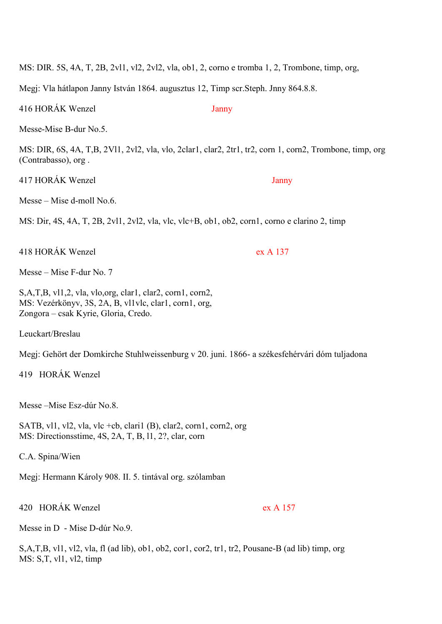MS: DIR. 5S, 4A, T, 2B, 2vl1, vl2, 2vl2, vla, ob1, 2, corno e tromba 1, 2, Trombone, timp, org,

Megj: Vla hátlapon Janny István 1864. augusztus 12, Timp scr. Steph. Jnny 864.8.8.

416 HORÁK Wenzel Janny

Messe-Mise B-dur No.5.

MS: DIR, 6S, 4A, T,B, 2Vl1, 2vl2, vla, vlo, 2clar1, clar2, 2tr1, tr2, corn 1, corn2, Trombone, timp, org (Contrabasso), org .

417 HORÁK Wenzel Janny

Messe – Mise d-moll No.6.

MS: Dir, 4S, 4A, T, 2B, 2vl1, 2vl2, vla, vlc, vlc+B, ob1, ob2, corn1, corno e clarino 2, timp

418 HORÁK Wenzel ex A 137

Messe – Mise F-dur No. 7

S,A,T,B, vl1,2, vla, vlo,org, clar1, clar2, corn1, corn2, MS: Vezérkönyv, 3S, 2A, B, vl1vlc, clar1, corn1, org, Zongora – csak Kyrie, Gloria, Credo.

Leuckart/Breslau

Megj: Gehört der Domkirche Stuhlweissenburg v 20. juni. 1866- a székesfehérvári dóm tuljadona

419 HORÁK Wenzel

Messe –Mise Esz-dúr No.8.

SATB, vl1, vl2, vla, vlc +cb, clari1 (B), clar2, corn1, corn2, org MS: Directionsstime, 4S, 2A, T, B, l1, 2?, clar, corn

C.A. Spina/Wien

Megj: Hermann Károly 908. II. 5. tintával org. szólamban

420 HORÁK Wenzel ex A 157

Messe in D - Mise D-dúr No.9.

S,A,T,B, vl1, vl2, vla, fl (ad lib), ob1, ob2, cor1, cor2, tr1, tr2, Pousane-B (ad lib) timp, org MS: S,T, vl1, vl2, timp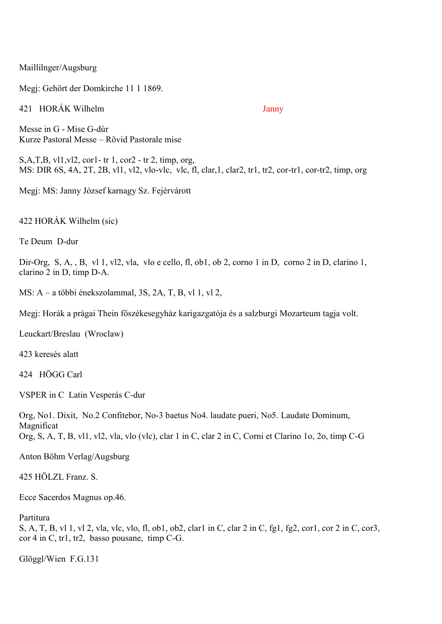Maillilnger/Augsburg

Megj: Gehört der Domkirche 11 1 1869.

421 HORÁK Wilhelm Janny

Messe in G - Mise G-dúr Kurze Pastoral Messe – Rövid Pastorale mise

S,A,T,B, vl1,vl2, cor1- tr 1, cor2 - tr 2, timp, org, MS: DIR 6S, 4A, 2T, 2B, vl1, vl2, vlo-vlc, vlc, fl, clar,1, clar2, tr1, tr2, cor-tr1, cor-tr2, timp, org

Megj: MS: Janny József karnagy Sz. Fejérvárott

422 HORÁK Wilhelm (sic)

Te Deum D-dur

Dir-Org, S, A, , B, vl 1, vl2, vla, vlo e cello, fl, ob1, ob 2, corno 1 in D, corno 2 in D, clarino 1, clarino 2 in D, timp D-A.

MS: A – a többi énekszolammal, 3S, 2A, T, B, vl 1, vl 2,

Megj: Horák a prágai Thein főszékesegyház karigazgatója és a salzburgi Mozarteum tagja volt.

Leuckart/Breslau (Wroclaw)

423 keresés alatt

424 HÖGG Carl

VSPER in C Latin Vesperás C-dur

Org, No1. Dixit, No.2 Confitebor, No-3 baetus No4. laudate pueri, No5. Laudate Dominum, Magnificat Org, S, A, T, B, vl1, vl2, vla, vlo (vlc), clar 1 in C, clar 2 in C, Corni et Clarino 1o, 2o, timp C-G

Anton Böhm Verlag/Augsburg

425 HÖLZL Franz. S.

Ecce Sacerdos Magnus op.46.

Partitura

S, A, T, B, vl 1, vl 2, vla, vlc, vlo, fl, ob1, ob2, clar1 in C, clar 2 in C, fg1, fg2, cor1, cor 2 in C, cor3, cor 4 in C, tr1, tr2, basso pousane, timp C-G.

Glöggl/Wien F.G.131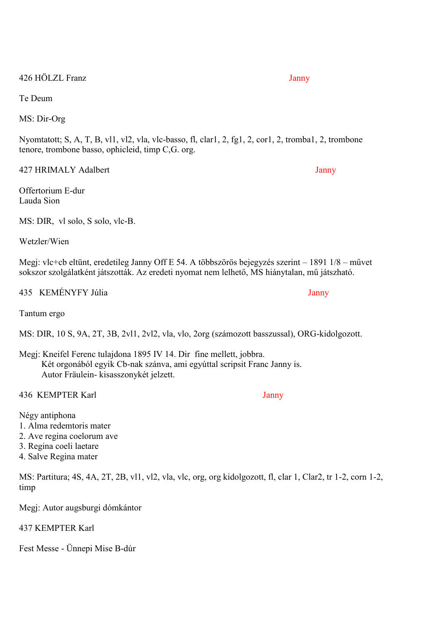426 HÖLZL Franz Janny

Te Deum

MS: Dir-Org

Nyomtatott; S, A, T, B, vl1, vl2, vla, vlc-basso, fl, clar1, 2, fg1, 2, cor1, 2, tromba1, 2, trombone tenore, trombone basso, ophicleid, timp C,G. org.

427 HRIMALY Adalbert Janny

Offertorium E-dur Lauda Sion

MS: DIR, vl solo, S solo, vlc-B.

Wetzler/Wien

Megj: vlc+cb eltünt, eredetileg Janny Off E 54. A többszörös bejegyzés szerint – 1891 1/8 – művet sokszor szolgálatként játszották. Az eredeti nyomat nem lelhető, MS hiánytalan, mű játszható.

435 KEMÉNYFY Júlia Janny

Tantum ergo

MS: DIR, 10 S, 9A, 2T, 3B, 2vl1, 2vl2, vla, vlo, 2org (számozott basszussal), ORG-kidolgozott.

Megj: Kneifel Ferenc tulajdona 1895 IV 14. Dir fine mellett, jobbra. Két orgonából egyik Cb-nak szánva, ami egyúttal scripsit Franc Janny is. Autor Fräulein- kisasszonykét jelzett.

436 KEMPTER Karl Janny

Négy antiphona

- 1. Alma redemtoris mater
- 2. Ave regina coelorum ave
- 3. Regina coeli laetare
- 4. Salve Regina mater

MS: Partitura; 4S, 4A, 2T, 2B, vl1, vl2, vla, vlc, org, org kidolgozott, fl, clar 1, Clar2, tr 1-2, corn 1-2, timp

Megj: Autor augsburgi dómkántor

437 KEMPTER Karl

Fest Messe - Ünnepi Mise B-dúr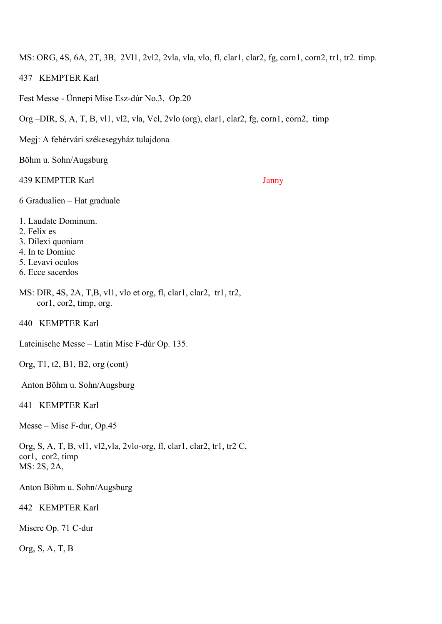MS: ORG, 4S, 6A, 2T, 3B, 2Vl1, 2vl2, 2vla, vla, vlo, fl, clar1, clar2, fg, corn1, corn2, tr1, tr2. timp.

- 437 KEMPTER Karl
- Fest Messe Ünnepi Mise Esz-dúr No.3, Op.20
- Org –DIR, S, A, T, B, vl1, vl2, vla, Vcl, 2vlo (org), clar1, clar2, fg, corn1, corn2, timp
- Megj: A fehérvári székesegyház tulajdona

Böhm u. Sohn/Augsburg

439 KEMPTER Karl Janny

- 6 Gradualien Hat graduale
- 1. Laudate Dominum.
- 2. Felix es
- 3. Dilexi quoniam
- 4. In te Domine
- 5. Levavi oculos
- 6. Ecce sacerdos
- MS: DIR, 4S, 2A, T,B, vl1, vlo et org, fl, clar1, clar2, tr1, tr2, cor1, cor2, timp, org.

440 KEMPTER Karl

Lateinische Messe – Latin Mise F-dúr Op. 135.

Org, T1, t2, B1, B2, org (cont)

Anton Böhm u. Sohn/Augsburg

441 KEMPTER Karl

Messe – Mise F-dur, Op.45

Org, S, A, T, B, vl1, vl2,vla, 2vlo-org, fl, clar1, clar2, tr1, tr2 C, cor1, cor2, timp MS: 2S, 2A,

Anton Böhm u. Sohn/Augsburg

442 KEMPTER Karl

Misere Op. 71 C-dur

Org, S, A, T, B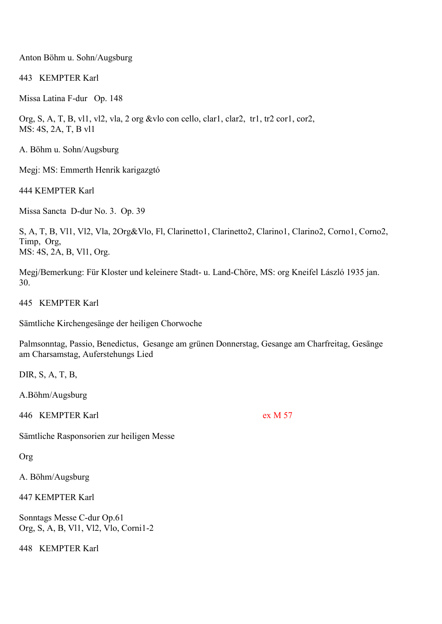Anton Böhm u. Sohn/Augsburg

443 KEMPTER Karl

Missa Latina F-dur Op. 148

Org, S, A, T, B, vl1, vl2, vla, 2 org &vlo con cello, clar1, clar2, tr1, tr2 cor1, cor2, MS: 4S, 2A, T, B vl1

A. Böhm u. Sohn/Augsburg

Megj: MS: Emmerth Henrik karigazgtó

444 KEMPTER Karl

Missa Sancta D-dur No. 3. Op. 39

S, A, T, B, Vl1, Vl2, Vla, 2Org&Vlo, Fl, Clarinetto1, Clarinetto2, Clarino1, Clarino2, Corno1, Corno2, Timp, Org, MS: 4S, 2A, B, Vl1, Org.

Megj/Bemerkung: Für Kloster und keleinere Stadt- u. Land-Chöre, MS: org Kneifel László 1935 jan. 30.

445 KEMPTER Karl

Sämtliche Kirchengesänge der heiligen Chorwoche

Palmsonntag, Passio, Benedictus, Gesange am grünen Donnerstag, Gesange am Charfreitag, Gesänge am Charsamstag, Auferstehungs Lied

DIR, S, A, T, B,

A.Böhm/Augsburg

446 KEMPTER Karl ex M 57

Sämtliche Rasponsorien zur heiligen Messe

Org

A. Böhm/Augsburg

447 KEMPTER Karl

Sonntags Messe C-dur Op.61 Org, S, A, B, Vl1, Vl2, Vlo, Corni1-2

448 KEMPTER Karl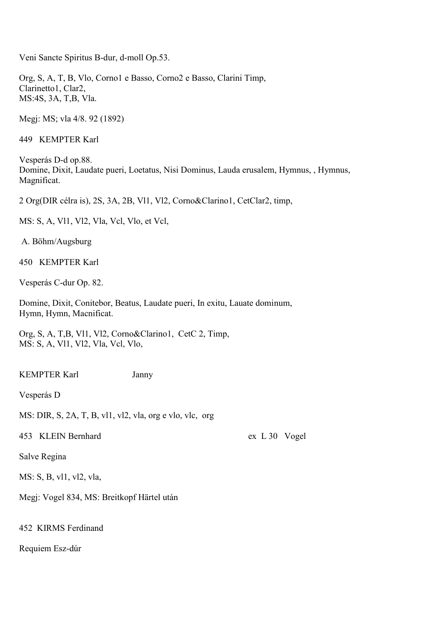Veni Sancte Spiritus B-dur, d-moll Op.53.

Org, S, A, T, B, Vlo, Corno1 e Basso, Corno2 e Basso, Clarini Timp, Clarinetto1, Clar2, MS:4S, 3A, T,B, Vla.

Megj: MS; vla 4/8. 92 (1892)

449 KEMPTER Karl

Vesperás D-d op.88. Domine, Dixit, Laudate pueri, Loetatus, Nisi Dominus, Lauda erusalem, Hymnus, , Hymnus, Magnificat.

2 Org(DIR célra is), 2S, 3A, 2B, Vl1, Vl2, Corno&Clarino1, CetClar2, timp,

MS: S, A, Vl1, Vl2, Vla, Vcl, Vlo, et Vcl,

A. Böhm/Augsburg

450 KEMPTER Karl

Vesperás C-dur Op. 82.

Domine, Dixit, Conitebor, Beatus, Laudate pueri, In exitu, Lauate dominum, Hymn, Hymn, Macnificat.

Org, S, A, T,B, Vl1, Vl2, Corno&Clarino1, CetC 2, Timp, MS: S, A, Vl1, Vl2, Vla, Vcl, Vlo,

KEMPTER Karl Janny

Vesperás D

MS: DIR, S, 2A, T, B, vl1, vl2, vla, org e vlo, vlc, org

453 KLEIN Bernhard ex L 30 Vogel

Salve Regina

MS: S, B, vl1, vl2, vla,

Megj: Vogel 834, MS: Breitkopf Härtel után

452 KIRMS Ferdinand

Requiem Esz-dúr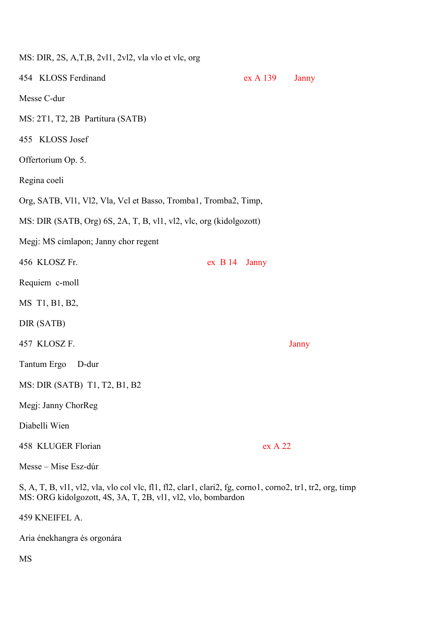| MS: DIR, 2S, A,T,B, 2vl1, 2vl2, vla vlo et vlc, org             |                                                                    |                 |              |  |
|-----------------------------------------------------------------|--------------------------------------------------------------------|-----------------|--------------|--|
| 454 KLOSS Ferdinand                                             |                                                                    | ex A 139        | <b>Janny</b> |  |
| Messe C-dur                                                     |                                                                    |                 |              |  |
| MS: 2T1, T2, 2B Partitura (SATB)                                |                                                                    |                 |              |  |
| 455 KLOSS Josef                                                 |                                                                    |                 |              |  |
| Offertorium Op. 5.                                              |                                                                    |                 |              |  |
| Regina coeli                                                    |                                                                    |                 |              |  |
| Org, SATB, Vl1, Vl2, Vla, Vcl et Basso, Tromba1, Tromba2, Timp, |                                                                    |                 |              |  |
|                                                                 | MS: DIR (SATB, Org) 6S, 2A, T, B, vl1, vl2, vlc, org (kidolgozott) |                 |              |  |
| Megj: MS címlapon; Janny chor regent                            |                                                                    |                 |              |  |
| 456 KLOSZ Fr.                                                   |                                                                    | $ex$ B 14 Janny |              |  |
| Requiem c-moll                                                  |                                                                    |                 |              |  |
| MS T1, B1, B2,                                                  |                                                                    |                 |              |  |
| DIR (SATB)                                                      |                                                                    |                 |              |  |
| 457 KLOSZ F.                                                    |                                                                    |                 | Janny        |  |
| Tantum Ergo D-dur                                               |                                                                    |                 |              |  |
| MS: DIR (SATB) T1, T2, B1, B2                                   |                                                                    |                 |              |  |
| Megj: Janny ChorReg                                             |                                                                    |                 |              |  |
| Diabelli Wien                                                   |                                                                    |                 |              |  |
| 458 KLUGER Florian                                              |                                                                    | ex A 22         |              |  |
| Messe – Mise Esz-dúr                                            |                                                                    |                 |              |  |

S, A, T, B, vl1, vl2, vla, vlo col vlc, fl1, fl2, clar1, clari2, fg, corno1, corno2, tr1, tr2, org, timp MS: ORG kidolgozott, 4S, 3A, T, 2B, vl1, vl2, vlo, bombardon

459 KNEIFEL A.

Aria énekhangra és orgonára

MS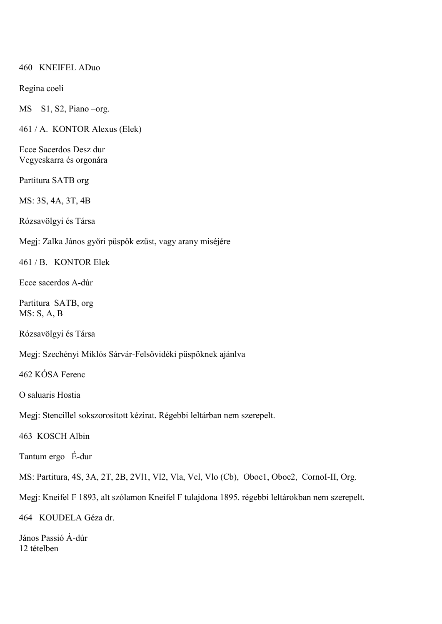## 460 KNEIFEL ADuo

## Regina coeli

MS S1, S2, Piano –org.

461 / A. KONTOR Alexus (Elek)

Ecce Sacerdos Desz dur Vegyeskarra és orgonára

Partitura SATB org

MS: 3S, 4A, 3T, 4B

Rózsavölgyi és Társa

Megj: Zalka János győri püspök ezüst, vagy arany miséjére

461 / B. KONTOR Elek

Ecce sacerdos A-dúr

Partitura SATB, org MS: S, A, B

Rózsavölgyi és Társa

Megj: Szechényi Miklós Sárvár-Felsővidéki püspöknek ajánlva

462 KÓSA Ferenc

O saluaris Hostia

Megj: Stencillel sokszorosított kézirat. Régebbi leltárban nem szerepelt.

463 KOSCH Albin

Tantum ergo É-dur

MS: Partitura, 4S, 3A, 2T, 2B, 2Vl1, Vl2, Vla, Vcl, Vlo (Cb), Oboe1, Oboe2, CornoI-II, Org.

Megj: Kneifel F 1893, alt szólamon Kneifel F tulajdona 1895. régebbi leltárokban nem szerepelt.

464 KOUDELA Géza dr.

János Passió Á-dúr 12 tételben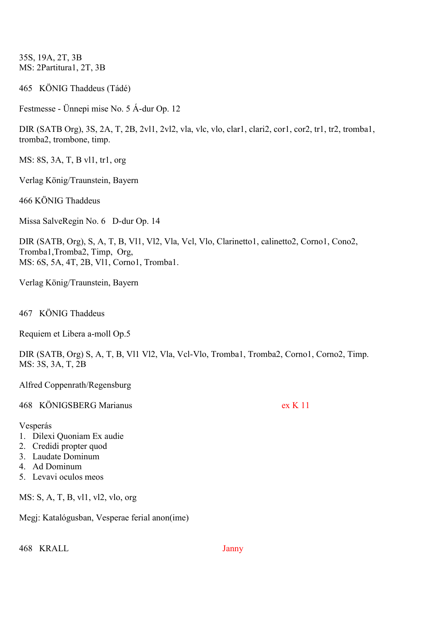35S, 19A, 2T, 3B MS: 2Partitura1, 2T, 3B

465 KÖNIG Thaddeus (Tádé)

Festmesse - Ünnepi mise No. 5 Á-dur Op. 12

DIR (SATB Org), 3S, 2A, T, 2B, 2vl1, 2vl2, vla, vlc, vlo, clar1, clari2, cor1, cor2, tr1, tr2, tromba1, tromba2, trombone, timp.

MS: 8S, 3A, T, B vl1, tr1, org

Verlag König/Traunstein, Bayern

466 KÖNIG Thaddeus

Missa SalveRegin No. 6 D-dur Op. 14

DIR (SATB, Org), S, A, T, B, Vl1, Vl2, Vla, Vcl, Vlo, Clarinetto1, calinetto2, Corno1, Cono2, Tromba1,Tromba2, Timp, Org, MS: 6S, 5A, 4T, 2B, Vl1, Corno1, Tromba1.

Verlag König/Traunstein, Bayern

467 KÖNIG Thaddeus

Requiem et Libera a-moll Op.5

DIR (SATB, Org) S, A, T, B, Vl1 Vl2, Vla, Vcl-Vlo, Tromba1, Tromba2, Corno1, Corno2, Timp. MS: 3S, 3A, T, 2B

Alfred Coppenrath/Regensburg

468 KÖNIGSBERG Marianus ex K 11

Vesperás

- 1. Dilexi Quoniam Ex audie
- 2. Credidi propter quod
- 3. Laudate Dominum
- 4. Ad Dominum
- 5. Levavi oculos meos

MS: S, A, T, B, vl1, vl2, vlo, org

Megj: Katalógusban, Vesperae ferial anon(ime)

468 KRALL Janny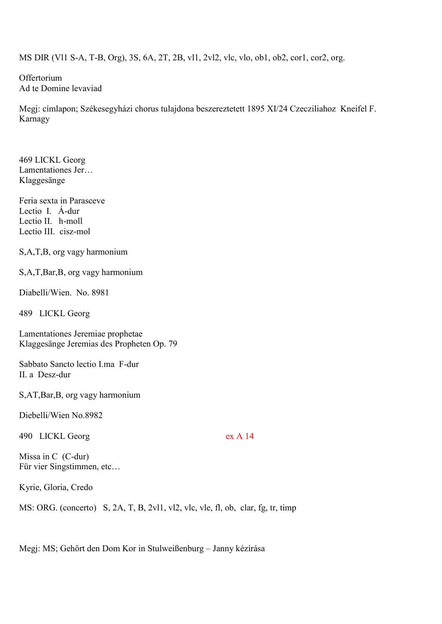MS DIR (Vl1 S-A, T-B, Org), 3S, 6A, 2T, 2B, vl1, 2vl2, vlc, vlo, ob1, ob2, cor1, cor2, org.

**Offertorium** Ad te Domine levaviad

Megj: címlapon; Székesegyházi chorus tulajdona beszereztetett 1895 XI/24 Czecziliahoz Kneifel F. Karnagy

469 LICKL Georg Lamentationes Jer… Klaggesänge

Feria sexta in Parasceve Lectio I. Á-dur Lectio II. h-moll Lectio III. cisz-mol

S,A,T,B, org vagy harmonium

S,A,T,Bar,B, org vagy harmonium

Diabelli/Wien. No. 8981

489 LICKL Georg

Lamentationes Jeremiae prophetae Klaggesänge Jeremias des Propheten Op. 79

Sabbato Sancto lectio I.ma F-dur II. a Desz-dur

S,AT,Bar,B, org vagy harmonium

Diebelli/Wien No.8982

490 LICKL Georg ex A 14

Missa in C (C-dur) Für vier Singstimmen, etc…

Kyrie, Gloria, Credo

MS: ORG. (concerto) S, 2A, T, B, 2vl1, vl2, vlc, vle, fl, ob, clar, fg, tr, timp

Megj: MS; Gehört den Dom Kor in Stulweißenburg – Janny kézírása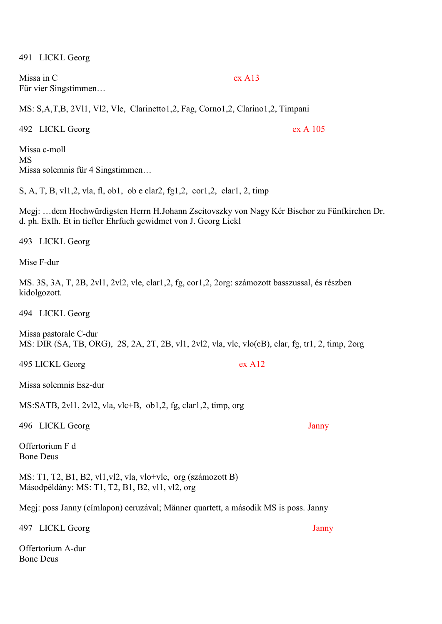491 LICKL Georg

Missa in C ex A13 Für vier Singstimmen…

MS: S,A,T,B, 2Vl1, Vl2, Vle, Clarinetto1,2, Fag, Corno1,2, Clarino1,2, Timpani

492 LICKL Georg ex A 105

Missa c-moll MS Missa solemnis für 4 Singstimmen…

S, A, T, B, vl1,2, vla, fl, ob1, ob e clar2, fg1,2, cor1,2, clar1, 2, timp

Megj: …dem Hochwürdigsten Herrn H.Johann Zscitovszky von Nagy Kér Bischor zu Fünfkirchen Dr. d. ph. ExIh. Et in tiefter Ehrfuch gewidmet von J. Georg Lickl

493 LICKL Georg

Mise F-dur

MS. 3S, 3A, T, 2B, 2vl1, 2vl2, vle, clar1,2, fg, cor1,2, 2org: számozott basszussal, és részben kidolgozott.

494 LICKL Georg

Missa pastorale C-dur MS: DIR (SA, TB, ORG), 2S, 2A, 2T, 2B, vl1, 2vl2, vla, vlc, vlo(cB), clar, fg, tr1, 2, timp, 2org

495 LICKL Georg ex A12

Missa solemnis Esz-dur

MS:SATB, 2vl1, 2vl2, vla, vlc+B, ob1,2, fg, clar1,2, timp, org

496 LICKL Georg Janny

Offertorium F d Bone Deus

MS: T1, T2, B1, B2, vl1,vl2, vla, vlo+vlc, org (számozott B) Másodpéldány: MS: T1, T2, B1, B2, vl1, vl2, org

Megj: poss Janny (címlapon) ceruzával; Männer quartett, a második MS is poss. Janny

497 LICKL Georg Janny

Offertorium A-dur Bone Deus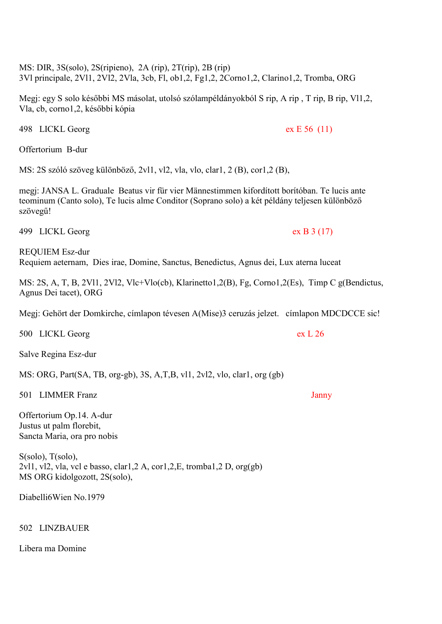MS: DIR, 3S(solo), 2S(ripieno), 2A (rip), 2T(rip), 2B (rip) 3Vl principale, 2Vl1, 2Vl2, 2Vla, 3cb, Fl, ob1,2, Fg1,2, 2Corno1,2, Clarino1,2, Tromba, ORG

Megj: egy S solo későbbi MS másolat, utolsó szólampéldányokból S rip, A rip , T rip, B rip, Vl1,2, Vla, cb, corno1,2, későbbi kópia

498 LICKL Georg ex E 56 (11)

Offertorium B-dur

MS: 2S szóló szöveg különböző, 2vl1, vl2, vla, vlo, clar1, 2 (B), cor1,2 (B),

megj: JANSA L. Graduale Beatus vir für vier Männestimmen kifordított borítóban. Te lucis ante teominum (Canto solo), Te lucis alme Conditor (Soprano solo) a két példány teljesen különböző szövegű!

499 LICKL Georg ex B 3 (17)

REQUIEM Esz-dur Requiem aeternam, Dies irae, Domine, Sanctus, Benedictus, Agnus dei, Lux aterna luceat

MS: 2S, A, T, B, 2Vl1, 2Vl2, Vlc+Vlo(cb), Klarinetto1,2(B), Fg, Corno1,2(Es), Timp C g(Bendictus, Agnus Dei tacet), ORG

Megj: Gehört der Domkirche, címlapon tévesen A(Mise)3 ceruzás jelzet. címlapon MDCDCCE sic!

500 LICKL Georg ex L 26

Salve Regina Esz-dur

MS: ORG, Part(SA, TB, org-gb), 3S, A,T,B, vl1, 2vl2, vlo, clar1, org (gb)

501 LIMMER Franz Janny

Offertorium Op.14. A-dur Justus ut palm florebit, Sancta Maria, ora pro nobis

S(solo), T(solo), 2vl1, vl2, vla, vcl e basso, clar1,2 A, cor1,2,E, tromba1,2 D, org(gb) MS ORG kidolgozott, 2S(solo),

Diabelli6Wien No.1979

# 502 LINZBAUER

Libera ma Domine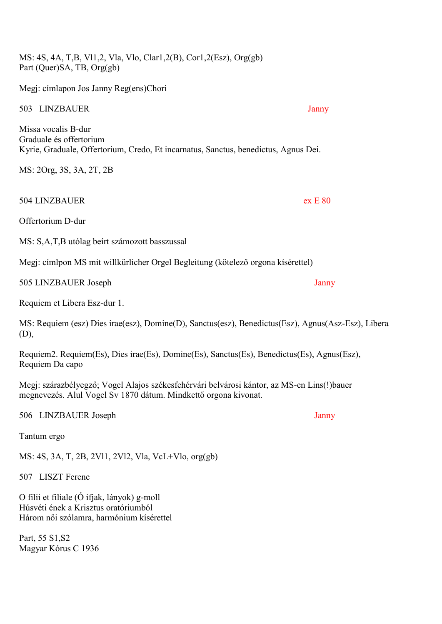MS: 4S, 4A, T,B, Vl1,2, Vla, Vlo, Clar1,2(B), Cor1,2(Esz), Org(gb) Part (Quer)SA, TB, Org(gb)

Megj: címlapon Jos Janny Reg(ens)Chori

#### 503 LINZBAUER Janny

Missa vocalis B-dur Graduale és offertorium Kyrie, Graduale, Offertorium, Credo, Et incarnatus, Sanctus, benedictus, Agnus Dei.

MS: 2Org, 3S, 3A, 2T, 2B

504 LINZBAUER ex E 80

Offertorium D-dur

MS: S,A,T,B utólag beírt számozott basszussal

Megj: címlpon MS mit willkürlicher Orgel Begleitung (kötelező orgona kísérettel)

505 LINZBAUER Joseph Janny

Requiem et Libera Esz-dur 1.

MS: Requiem (esz) Dies irae(esz), Domine(D), Sanctus(esz), Benedictus(Esz), Agnus(Asz-Esz), Libera (D),

Requiem2. Requiem(Es), Dies irae(Es), Domine(Es), Sanctus(Es), Benedictus(Es), Agnus(Esz), Requiem Da capo

Megj: szárazbélyegző; Vogel Alajos székesfehérvári belvárosi kántor, az MS-en Lins(!)bauer megnevezés. Alul Vogel Sv 1870 dátum. Mindkettő orgona kivonat.

506 LINZBAUER Joseph Janny

Tantum ergo

MS: 4S, 3A, T, 2B, 2Vl1, 2Vl2, Vla, VcL+Vlo, org(gb)

507 LISZT Ferenc

O filii et filiale (Ó ifjak, lányok) g-moll Húsvéti ének a Krisztus oratóriumból Három női szólamra, harmónium kísérettel

Part, 55 S1,S2 Magyar Kórus C 1936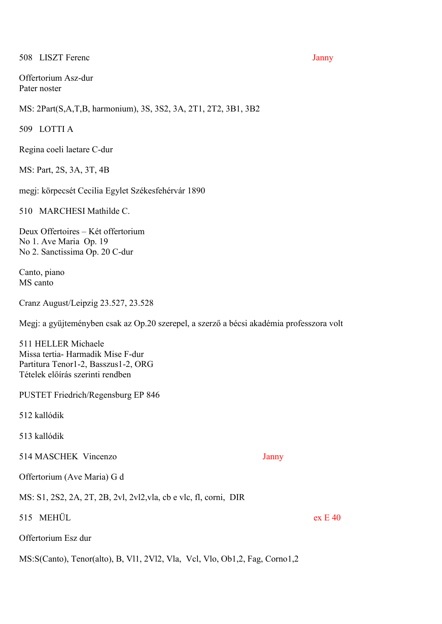# 508 LISZT Ferenc Janny

Offertorium Asz-dur Pater noster

MS: 2Part(S,A,T,B, harmonium), 3S, 3S2, 3A, 2T1, 2T2, 3B1, 3B2

509 LOTTI A

Regina coeli laetare C-dur

MS: Part, 2S, 3A, 3T, 4B

megj: körpecsét Cecilia Egylet Székesfehérvár 1890

510 MARCHESI Mathilde C.

Deux Offertoires – Két offertorium No 1. Ave Maria Op. 19 No 2. Sanctissima Op. 20 C-dur

Canto, piano MS canto

Cranz August/Leipzig 23.527, 23.528

Megj: a gyüjteményben csak az Op.20 szerepel, a szerző a bécsi akadémia professzora volt

511 HELLER Michaele Missa tertia- Harmadik Mise F-dur Partitura Tenor1-2, Basszus1-2, ORG Tételek előírás szerinti rendben

PUSTET Friedrich/Regensburg EP 846

512 kallódik

513 kallódik

514 MASCHEK Vincenzo Janny

Offertorium (Ave Maria) G d

MS: S1, 2S2, 2A, 2T, 2B, 2vl, 2vl2,vla, cb e vlc, fl, corni, DIR

515 MEHÜL ex E 40

Offertorium Esz dur

MS:S(Canto), Tenor(alto), B, Vl1, 2Vl2, Vla, Vcl, Vlo, Ob1,2, Fag, Corno1,2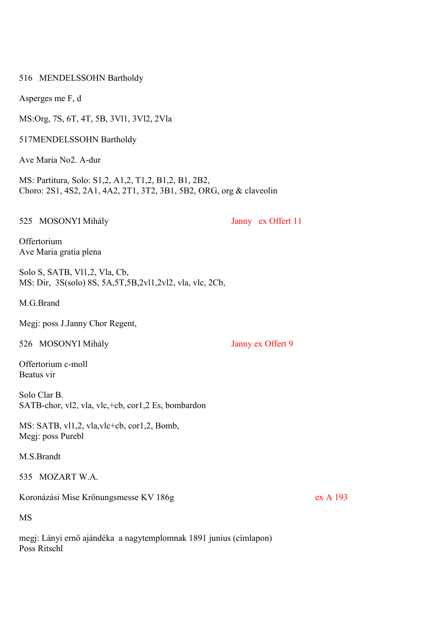516 MENDELSSOHN Bartholdy

Asperges me F, d

MS:Org, 7S, 6T, 4T, 5B, 3Vl1, 3Vl2, 2Vla

517MENDELSSOHN Bartholdy

Ave Maria No2. A-dur

MS: Partitura, Solo: S1,2, A1,2, T1,2, B1,2, B1, 2B2, Choro: 2S1, 4S2, 2A1, 4A2, 2T1, 3T2, 3B1, 5B2, ORG, org & claveolin

525 MOSONYI Mihály Janny ex Offert 11

**Offertorium** Ave Maria gratia plena

Solo S, SATB, Vl1,2, Vla, Cb, MS: Dir, 3S(solo) 8S, 5A,5T,5B,2vl1,2vl2, vla, vlc, 2Cb,

M.G.Brand

Megj: poss J.Janny Chor Regent,

526 MOSONYI Mihály Janny ex Offert 9

Offertorium c-moll Beatus vir

Solo Clar B. SATB-chor, vl2, vla, vlc,+cb, cor1,2 Es, bombardon

MS: SATB, vl1,2, vla,vlc+cb, cor1,2, Bomb, Megj: poss Purebl

M.S.Brandt

535 MOZART W.A.

Koronázási Mise Krönungsmesse KV 186g ex A 193

MS

megj: Lányi ernő ajándéka a nagytemplomnak 1891 junius (címlapon) Poss Ritschl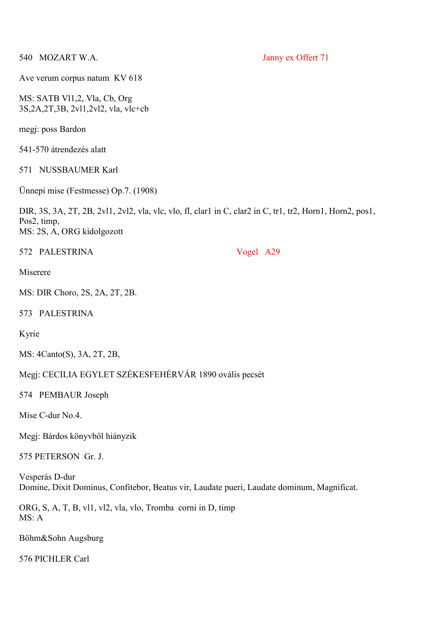540 MOZART W.A. Janny ex Offert 71

Ave verum corpus natum KV 618

MS: SATB Vl1,2, Vla, Cb, Org 3S,2A,2T,3B, 2vl1,2vl2, vla, vlc+cb

megj: poss Bardon

541-570 átrendezés alatt

# 571 NUSSBAUMER Karl

Ünnepi mise (Festmesse) Op.7. (1908)

DIR, 3S, 3A, 2T, 2B, 2vl1, 2vl2, vla, vlc, vlo, fl, clar1 in C, clar2 in C, tr1, tr2, Horn1, Horn2, pos1, Pos2, timp, MS: 2S, A, ORG kidolgozott

572 PALESTRINA Vogel A29

Miserere

MS: DIR Choro, 2S, 2A, 2T, 2B.

573 PALESTRINA

Kyrie

MS: 4Canto(S), 3A, 2T, 2B,

Megj: CECILIA EGYLET SZÉKESFEHÉRVÁR 1890 ovális pecsét

574 PEMBAUR Joseph

Mise C-dur No.4.

Megj: Bárdos könyvből hiányzik

575 PETERSON Gr. J.

Vesperás D-dur Domine, Dixit Dominus, Confitebor, Beatus vir, Laudate pueri, Laudate dominum, Magnificat.

ORG, S, A, T, B, vl1, vl2, vla, vlo, Tromba corni in D, timp MS: A

Böhm&Sohn Augsburg

576 PICHLER Carl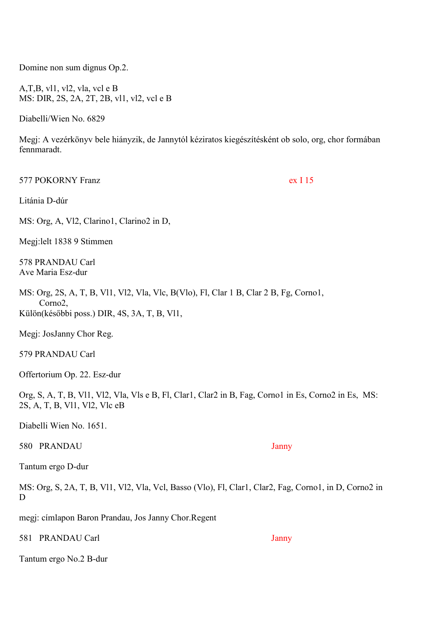Domine non sum dignus Op.2.

A,T,B, vl1, vl2, vla, vcl e B MS: DIR, 2S, 2A, 2T, 2B, vl1, vl2, vcl e B

Diabelli/Wien No. 6829

Megj: A vezérkönyv bele hiányzik, de Jannytól kéziratos kiegészítésként ob solo, org, chor formában fennmaradt.

577 POKORNY Franz ex I 15

Litánia D-dúr

MS: Org, A, Vl2, Clarino1, Clarino2 in D,

Megj:lelt 1838 9 Stimmen

578 PRANDAU Carl Ave Maria Esz-dur

MS: Org, 2S, A, T, B, Vl1, Vl2, Vla, Vlc, B(Vlo), Fl, Clar 1 B, Clar 2 B, Fg, Corno1, Corno2, Külön(későbbi poss.) DIR, 4S, 3A, T, B, Vl1,

Megj: JosJanny Chor Reg.

579 PRANDAU Carl

Offertorium Op. 22. Esz-dur

Org, S, A, T, B, Vl1, Vl2, Vla, Vls e B, Fl, Clar1, Clar2 in B, Fag, Corno1 in Es, Corno2 in Es, MS: 2S, A, T, B, Vl1, Vl2, Vlc eB

Diabelli Wien No. 1651.

580 PRANDAU Janny

Tantum ergo D-dur

MS: Org, S, 2A, T, B, Vl1, Vl2, Vla, Vcl, Basso (Vlo), Fl, Clar1, Clar2, Fag, Corno1, in D, Corno2 in D

megj: címlapon Baron Prandau, Jos Janny Chor.Regent

581 PRANDAU Carl Janny

Tantum ergo No.2 B-dur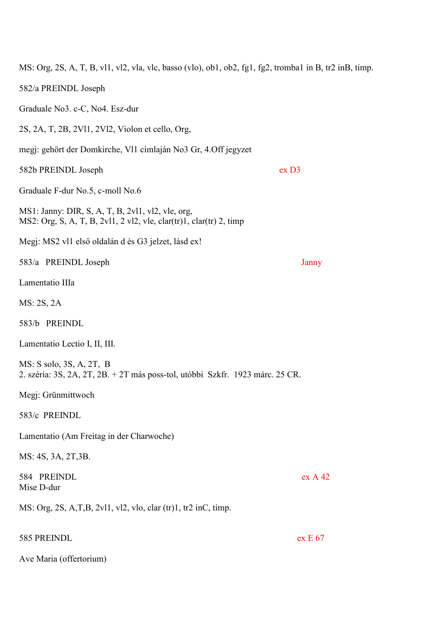| MS: Org, 2S, A, T, B, vl1, vl2, vla, vlc, basso (vlo), ob1, ob2, fg1, fg2, tromba1 in B, tr2 inB, timp.                  |                  |
|--------------------------------------------------------------------------------------------------------------------------|------------------|
| 582/a PREINDL Joseph                                                                                                     |                  |
| Graduale No3. c-C, No4. Esz-dur                                                                                          |                  |
| 2S, 2A, T, 2B, 2V11, 2V12, Violon et cello, Org,                                                                         |                  |
| megj: gehört der Domkirche, V11 címlaján No3 Gr, 4. Off jegyzet                                                          |                  |
| 582b PREINDL Joseph                                                                                                      | ex <sub>D3</sub> |
| Graduale F-dur No.5, c-moll No.6                                                                                         |                  |
| MS1: Janny: DIR, S, A, T, B, 2v11, v12, vle, org,<br>MS2: Org, S, A, T, B, 2v11, 2 v12, vle, clar(tr)1, clar(tr) 2, timp |                  |
| Megj: MS2 v11 első oldalán d és G3 jelzet, lásd ex!                                                                      |                  |
| 583/a PREINDL Joseph                                                                                                     | Janny            |
| Lamentatio IIIa                                                                                                          |                  |
| MS: 2S, 2A                                                                                                               |                  |
| 583/b PREINDL                                                                                                            |                  |
| Lamentatio Lectio I, II, III.                                                                                            |                  |
| MS: S solo, 3S, A, 2T, B<br>2. széria: 3S, 2A, 2T, 2B. + 2T más poss-tol, utóbbi Szkfr. 1923 márc. 25 CR.                |                  |
| Megj: Grünmittwoch                                                                                                       |                  |
| 583/c PREINDL                                                                                                            |                  |
| Lamentatio (Am Freitag in der Charwoche)                                                                                 |                  |
| MS: 4S, 3A, 2T, 3B.                                                                                                      |                  |
| 584 PREINDL<br>Mise D-dur                                                                                                | exA42            |
| MS: Org, 2S, A,T,B, 2v11, v12, vlo, clar (tr)1, tr2 inC, timp.                                                           |                  |
| 585 PREINDL                                                                                                              | ex E 67          |
| Ave Maria (offertorium)                                                                                                  |                  |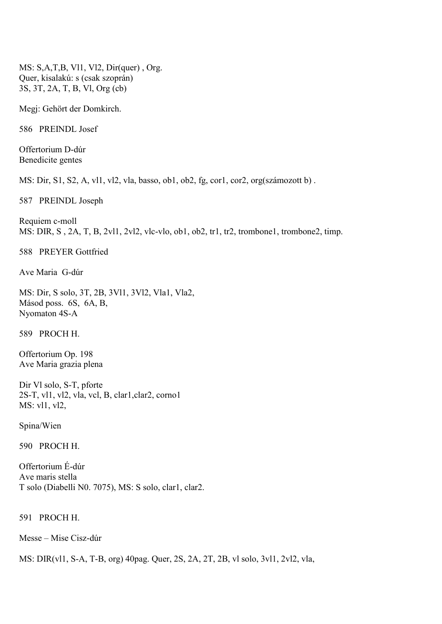MS: S,A,T,B, Vl1, Vl2, Dir(quer) , Org. Quer, kisalakú: s (csak szoprán) 3S, 3T, 2A, T, B, Vl, Org (cb)

Megj: Gehört der Domkirch.

586 PREINDL Josef

Offertorium D-dúr Benedicite gentes

MS: Dir, S1, S2, A, vl1, vl2, vla, basso, ob1, ob2, fg, cor1, cor2, org(számozott b) .

587 PREINDL Joseph

Requiem c-moll MS: DIR, S , 2A, T, B, 2vl1, 2vl2, vlc-vlo, ob1, ob2, tr1, tr2, trombone1, trombone2, timp.

588 PREYER Gottfried

Ave Maria G-dúr

MS: Dir, S solo, 3T, 2B, 3Vl1, 3Vl2, Vla1, Vla2, Másod poss. 6S, 6A, B, Nyomaton 4S-A

589 PROCH H.

Offertorium Op. 198 Ave Maria grazia plena

Dir Vl solo, S-T, pforte 2S-T, vl1, vl2, vla, vcl, B, clar1,clar2, corno1 MS: vl1, vl2,

Spina/Wien

590 PROCH H.

Offertorium É-dúr Ave maris stella T solo (Diabelli N0. 7075), MS: S solo, clar1, clar2.

591 PROCH H.

Messe – Mise Cisz-dúr

MS: DIR(vl1, S-A, T-B, org) 40pag. Quer, 2S, 2A, 2T, 2B, vl solo, 3vl1, 2vl2, vla,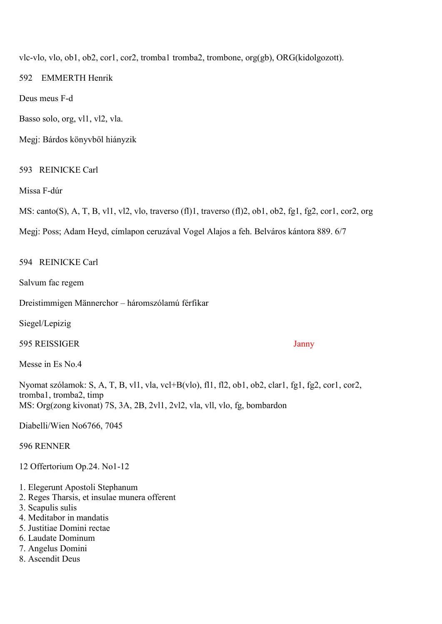vlc-vlo, vlo, ob1, ob2, cor1, cor2, tromba1 tromba2, trombone, org(gb), ORG(kidolgozott).

592 EMMERTH Henrik

Deus meus F-d

Basso solo, org, vl1, vl2, vla.

Megj: Bárdos könyvből hiányzik

# 593 REINICKE Carl

Missa F-dúr

MS: canto(S), A, T, B, vl1, vl2, vlo, traverso (fl)1, traverso (fl)2, ob1, ob2, fg1, fg2, cor1, cor2, org

Megj: Poss; Adam Heyd, címlapon ceruzával Vogel Alajos a feh. Belváros kántora 889. 6/7

594 REINICKE Carl

Salvum fac regem

Dreistimmigen Männerchor – háromszólamú férfikar

Siegel/Lepizig

595 REISSIGER Janny

Messe in Es No.4

Nyomat szólamok: S, A, T, B, vl1, vla, vcl+B(vlo), fl1, fl2, ob1, ob2, clar1, fg1, fg2, cor1, cor2, tromba1, tromba2, timp MS: Org(zong kivonat) 7S, 3A, 2B, 2vl1, 2vl2, vla, vll, vlo, fg, bombardon

Diabelli/Wien No6766, 7045

596 RENNER

12 Offertorium Op.24. No1-12

- 1. Elegerunt Apostoli Stephanum
- 2. Reges Tharsis, et insulae munera offerent
- 3. Scapulis sulis
- 4. Meditabor in mandatis
- 5. Justitiae Domini rectae
- 6. Laudate Dominum
- 7. Angelus Domini
- 8. Ascendit Deus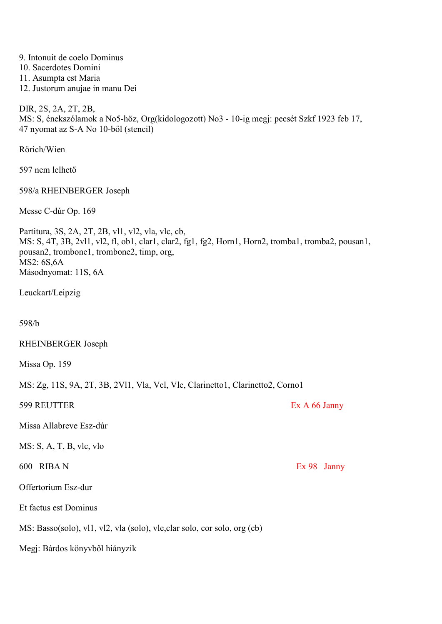| 9. Intonuit de coelo Dominus<br>10. Sacerdotes Domini<br>11. Asumpta est Maria<br>12. Justorum anujae in manu Dei                                                                                                                             |               |
|-----------------------------------------------------------------------------------------------------------------------------------------------------------------------------------------------------------------------------------------------|---------------|
| DIR, 2S, 2A, 2T, 2B,<br>MS: S, énekszólamok a No5-höz, Org(kidologozott) No3 - 10-ig megj: pecsét Szkf 1923 feb 17,<br>47 nyomat az S-A No 10-ből (stencil)                                                                                   |               |
| Rörich/Wien                                                                                                                                                                                                                                   |               |
| 597 nem lelhető                                                                                                                                                                                                                               |               |
| 598/a RHEINBERGER Joseph                                                                                                                                                                                                                      |               |
| Messe C-dúr Op. 169                                                                                                                                                                                                                           |               |
| Partitura, 3S, 2A, 2T, 2B, vl1, vl2, vla, vlc, cb,<br>MS: S, 4T, 3B, 2v11, v12, fl, ob1, clar1, clar2, fg1, fg2, Horn1, Horn2, tromba1, tromba2, pousan1,<br>pousan2, trombone1, trombone2, timp, org,<br>MS2: 6S, 6A<br>Másodnyomat: 11S, 6A |               |
| Leuckart/Leipzig                                                                                                                                                                                                                              |               |
| 598/b                                                                                                                                                                                                                                         |               |
| RHEINBERGER Joseph                                                                                                                                                                                                                            |               |
| Missa Op. 159                                                                                                                                                                                                                                 |               |
| MS: Zg, 11S, 9A, 2T, 3B, 2V11, Vla, Vcl, Vle, Clarinetto1, Clarinetto2, Corno1                                                                                                                                                                |               |
| 599 REUTTER                                                                                                                                                                                                                                   | Ex A 66 Janny |
| Missa Allabreve Esz-dúr                                                                                                                                                                                                                       |               |
| $MS: S, A, T, B, \nabla c, \nabla$                                                                                                                                                                                                            |               |
| 600 RIBAN                                                                                                                                                                                                                                     | Ex 98 Janny   |
| Offertorium Esz-dur                                                                                                                                                                                                                           |               |
| Et factus est Dominus                                                                                                                                                                                                                         |               |
| MS: Basso(solo), vl1, vl2, vla (solo), vle, clar solo, cor solo, org (cb)                                                                                                                                                                     |               |
| Megj: Bárdos könyvből hiányzik                                                                                                                                                                                                                |               |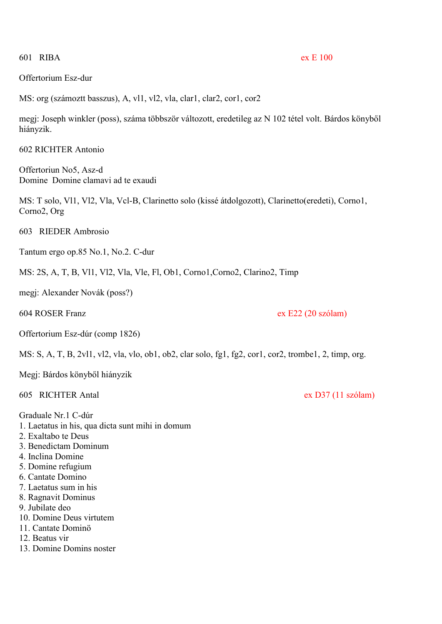601 RIBA ex E 100

# Offertorium Esz-dur

MS: org (számoztt basszus), A, vl1, vl2, vla, clar1, clar2, cor1, cor2

megj: Joseph winkler (poss), száma többször változott, eredetileg az N 102 tétel volt. Bárdos könyből hiányzik.

602 RICHTER Antonio

Offertoriun No5, Asz-d Domine Domine clamavi ad te exaudi

MS: T solo, Vl1, Vl2, Vla, Vcl-B, Clarinetto solo (kissé átdolgozott), Clarinetto(eredeti), Corno1, Corno2, Org

603 RIEDER Ambrosio

Tantum ergo op.85 No.1, No.2. C-dur

MS: 2S, A, T, B, Vl1, Vl2, Vla, Vle, Fl, Ob1, Corno1,Corno2, Clarino2, Timp

megj: Alexander Novák (poss?)

604 ROSER Franz ex E22 (20 szólam)

Offertorium Esz-dúr (comp 1826)

MS: S, A, T, B, 2vl1, vl2, vla, vlo, ob1, ob2, clar solo, fg1, fg2, cor1, cor2, trombe1, 2, timp, org.

Megj: Bárdos könyből hiányzik

605 RICHTER Antal ex D37 (11 szólam)

Graduale Nr.1 C-dúr

1. Laetatus in his, qua dicta sunt mihi in domum

- 2. Exaltabo te Deus
- 3. Benedictam Dominum
- 4. Inclina Domine
- 5. Domine refugium
- 6. Cantate Domino
- 7. Laetatus sum in his
- 8. Ragnavit Dominus
- 9. Jubilate deo
- 10. Domine Deus virtutem
- 11. Cantate Dominö
- 12. Beatus vir
- 13. Domine Domins noster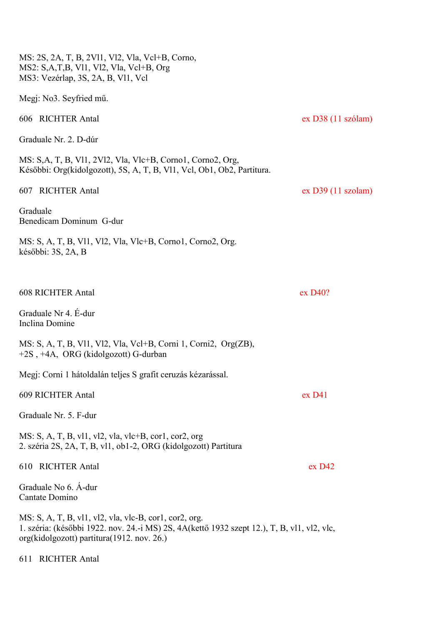| MS: 2S, 2A, T, B, 2V11, V12, Vla, Vcl+B, Corno,<br>MS2: S,A,T,B, Vl1, Vl2, Vla, Vcl+B, Org<br>MS3: Vezérlap, 3S, 2A, B, Vl1, Vcl                                                                     |                      |
|------------------------------------------------------------------------------------------------------------------------------------------------------------------------------------------------------|----------------------|
| Megj: No3. Seyfried mű.                                                                                                                                                                              |                      |
| 606 RICHTER Antal                                                                                                                                                                                    | $ex$ D38 (11 szólam) |
| Graduale Nr. 2. D-dúr                                                                                                                                                                                |                      |
| MS: S,A, T, B, Vl1, 2Vl2, Vla, Vlc+B, Corno1, Corno2, Org,<br>Későbbi: Org(kidolgozott), 5S, A, T, B, Vl1, Vcl, Ob1, Ob2, Partitura.                                                                 |                      |
| 607 RICHTER Antal                                                                                                                                                                                    | ex D39 (11 szolam)   |
| Graduale<br>Benedicam Dominum G-dur                                                                                                                                                                  |                      |
| MS: S, A, T, B, Vl1, Vl2, Vla, Vlc+B, Corno1, Corno2, Org.<br>későbbi: 3S, 2A, B                                                                                                                     |                      |
|                                                                                                                                                                                                      |                      |
| <b>608 RICHTER Antal</b>                                                                                                                                                                             | ex D40?              |
| Graduale Nr 4. É-dur<br>Inclina Domine                                                                                                                                                               |                      |
| MS: S, A, T, B, Vl1, Vl2, Vla, Vcl+B, Corni 1, Corni2, Org(ZB),<br>+2S, +4A, ORG (kidolgozott) G-durban                                                                                              |                      |
| Megj: Corni 1 hátoldalán teljes S grafit ceruzás kézarással.                                                                                                                                         |                      |
| 609 RICHTER Antal                                                                                                                                                                                    | ex <sub>D41</sub>    |
| Graduale Nr. 5. F-dur                                                                                                                                                                                |                      |
| MS: S, A, T, B, vl1, vl2, vla, vlc+B, cor1, cor2, org<br>2. széria 2S, 2A, T, B, vl1, ob1-2, ORG (kidolgozott) Partitura                                                                             |                      |
| <b>RICHTER Antal</b><br>610                                                                                                                                                                          | ex <sub>D42</sub>    |
| Graduale No 6. A-dur<br>Cantate Domino                                                                                                                                                               |                      |
| MS: S, A, T, B, vl1, vl2, vla, vlc-B, cor1, cor2, org.<br>1. széria: (későbbi 1922. nov. 24.-i MS) 2S, 4A (kettő 1932 szept 12.), T, B, vl1, vl2, vlc,<br>org(kidolgozott) partitura(1912. nov. 26.) |                      |
| 611 RICHTER Antal                                                                                                                                                                                    |                      |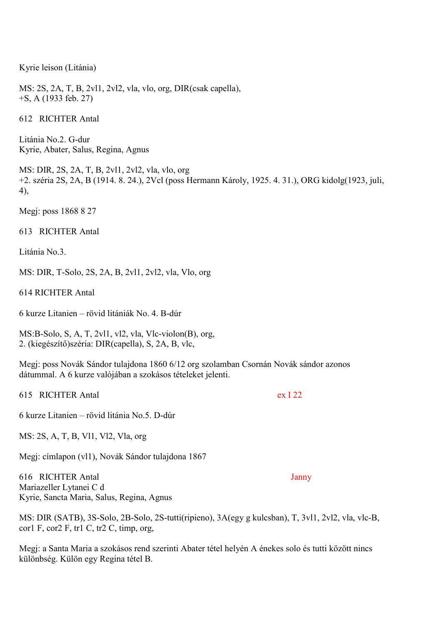Kyrie leison (Litánia)

MS: 2S, 2A, T, B, 2vl1, 2vl2, vla, vlo, org, DIR(csak capella), +S, A (1933 feb. 27)

612 RICHTER Antal

Litánia No.2. G-dur Kyrie, Abater, Salus, Regina, Agnus

MS: DIR, 2S, 2A, T, B, 2vl1, 2vl2, vla, vlo, org +2. széria 2S, 2A, B (1914. 8. 24.), 2Vcl (poss Hermann Károly, 1925. 4. 31.), ORG kidolg(1923, juli, 4),

Megj: poss 1868 8 27

613 RICHTER Antal

Litánia No. 3

MS: DIR, T-Solo, 2S, 2A, B, 2vl1, 2vl2, vla, Vlo, org

614 RICHTER Antal

6 kurze Litanien – rövid litániák No. 4. B-dúr

MS:B-Solo, S, A, T, 2vl1, vl2, vla, Vlc-violon(B), org, 2. (kiegészítő)széria: DIR(capella), S, 2A, B, vlc,

Megj: poss Novák Sándor tulajdona 1860 6/12 org szolamban Csornán Novák sándor azonos dátummal. A 6 kurze valójában a szokásos tételeket jelenti.

615 RICHTER Antal ex I 22

6 kurze Litanien – rövid litánia No.5. D-dúr

MS: 2S, A, T, B, Vl1, Vl2, Vla, org

Megj: címlapon (vl1), Novák Sándor tulajdona 1867

616 RICHTER Antal Janny Mariazeller Lytanei C d Kyrie, Sancta Maria, Salus, Regina, Agnus

MS: DIR (SATB), 3S-Solo, 2B-Solo, 2S-tutti(ripieno), 3A(egy g kulcsban), T, 3vl1, 2vl2, vla, vlc-B, cor1 F, cor2 F, tr1 C, tr2 C, timp, org,

Megj: a Santa Maria a szokásos rend szerinti Abater tétel helyén A énekes solo és tutti között nincs különbség. Külön egy Regina tétel B.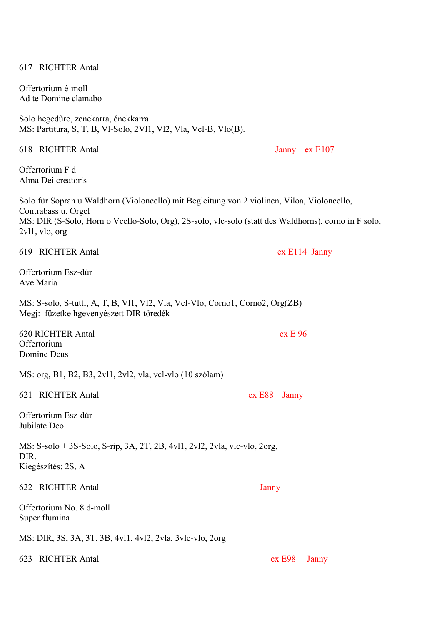| Offertorium é-moll<br>Ad te Domine clamabo                                                                                                                                                                                                      |                 |
|-------------------------------------------------------------------------------------------------------------------------------------------------------------------------------------------------------------------------------------------------|-----------------|
| Solo hegedűre, zenekarra, énekkarra<br>MS: Partitura, S, T, B, Vl-Solo, 2Vl1, Vl2, Vla, Vcl-B, Vlo(B).                                                                                                                                          |                 |
| 618 RICHTER Antal                                                                                                                                                                                                                               | Janny ex E107   |
| Offertorium F d<br>Alma Dei creatoris                                                                                                                                                                                                           |                 |
| Solo für Sopran u Waldhorn (Violoncello) mit Begleitung von 2 violinen, Viloa, Violoncello,<br>Contrabass u. Orgel<br>MS: DIR (S-Solo, Horn o Vcello-Solo, Org), 2S-solo, vlc-solo (statt des Waldhorns), corno in F solo,<br>$2vl1$ , vlo, org |                 |
| 619 RICHTER Antal                                                                                                                                                                                                                               | ex E114 Janny   |
| Offertorium Esz-dúr<br>Ave Maria                                                                                                                                                                                                                |                 |
| MS: S-solo, S-tutti, A, T, B, Vl1, Vl2, Vla, Vcl-Vlo, Corno1, Corno2, Org(ZB)<br>Megj: füzetke hgevenyészett DIR töredék                                                                                                                        |                 |
| 620 RICHTER Antal<br>Offertorium<br>Domine Deus                                                                                                                                                                                                 | ex E 96         |
| MS: org, B1, B2, B3, 2v11, 2v12, vla, vcl-vlo (10 szólam)                                                                                                                                                                                       |                 |
| <b>RICHTER Antal</b><br>621                                                                                                                                                                                                                     | ex E88<br>Janny |
| Offertorium Esz-dúr<br>Jubilate Deo                                                                                                                                                                                                             |                 |
| MS: S-solo + 3S-Solo, S-rip, 3A, 2T, 2B, 4vl1, 2vl2, 2vla, vlc-vlo, 2org,<br>DIR.<br>Kiegészítés: 2S, A                                                                                                                                         |                 |
| 622 RICHTER Antal                                                                                                                                                                                                                               | Janny           |
| Offertorium No. 8 d-moll<br>Super flumina                                                                                                                                                                                                       |                 |
| MS: DIR, 3S, 3A, 3T, 3B, 4v11, 4v12, 2v1a, 3v1c-v10, 2org                                                                                                                                                                                       |                 |
| <b>RICHTER Antal</b><br>623                                                                                                                                                                                                                     | ex E98<br>Janny |

617 RICHTER Antal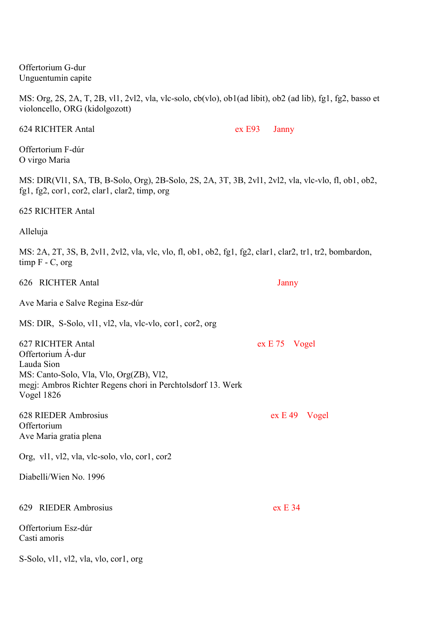MS: Org, 2S, 2A, T, 2B, vl1, 2vl2, vla, vlc-solo, cb(vlo), ob1(ad libit), ob2 (ad lib), fg1, fg2, basso et violoncello, ORG (kidolgozott) 624 RICHTER Antal ex E93 Janny Offertorium F-dúr O virgo Maria 626 RICHTER Antal Janny Ave Maria e Salve Regina Esz-dúr MS: DIR, S-Solo, vl1, vl2, vla, vlc-vlo, cor1, cor2, org 627 RICHTER Antal ex E 75 Vogel 628 RIEDER Ambrosius ex E 49 Vogel **Offertorium** Ave Maria gratia plena Org, vl1, vl2, vla, vlc-solo, vlo, cor1, cor2 Diabelli/Wien No. 1996

Offertorium Esz-dúr Casti amoris

S-Solo, vl1, vl2, vla, vlo, cor1, org

MS: DIR(Vl1, SA, TB, B-Solo, Org), 2B-Solo, 2S, 2A, 3T, 3B, 2vl1, 2vl2, vla, vlc-vlo, fl, ob1, ob2, fg1, fg2, cor1, cor2, clar1, clar2, timp, org

625 RICHTER Antal

Offertorium G-dur Unguentumin capite

Alleluja

MS: 2A, 2T, 3S, B, 2vl1, 2vl2, vla, vlc, vlo, fl, ob1, ob2, fg1, fg2, clar1, clar2, tr1, tr2, bombardon, timp  $F - C$ , org

Offertorium Á-dur Lauda Sion MS: Canto-Solo, Vla, Vlo, Org(ZB), Vl2, megj: Ambros Richter Regens chori in Perchtolsdorf 13. Werk Vogel 1826

629 RIEDER Ambrosius ex E 34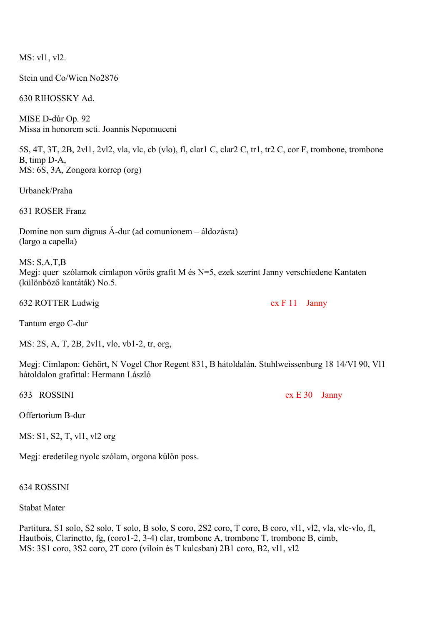MS: vl1, vl2.

Stein und Co/Wien No2876

630 RIHOSSKY Ad.

MISE D-dúr Op. 92 Missa in honorem scti. Joannis Nepomuceni

5S, 4T, 3T, 2B, 2vl1, 2vl2, vla, vlc, cb (vlo), fl, clar1 C, clar2 C, tr1, tr2 C, cor F, trombone, trombone B, timp D-A, MS: 6S, 3A, Zongora korrep (org)

Urbanek/Praha

631 ROSER Franz

Domine non sum dignus Á-dur (ad comunionem – áldozásra) (largo a capella)

MS: S,A,T,B Megj: quer szólamok címlapon vörös grafit M és N=5, ezek szerint Janny verschiedene Kantaten (különböző kantáták) No.5.

632 ROTTER Ludwig ex F 11 Janny

Tantum ergo C-dur

MS: 2S, A, T, 2B, 2vl1, vlo, vb1-2, tr, org,

Megj: Címlapon: Gehört, N Vogel Chor Regent 831, B hátoldalán, Stuhlweissenburg 18 14/VI 90, Vl1 hátoldalon grafittal: Hermann László

Offertorium B-dur

MS: S1, S2, T, vl1, vl2 org

Megj: eredetileg nyolc szólam, orgona külön poss.

634 ROSSINI

Stabat Mater

Partitura, S1 solo, S2 solo, T solo, B solo, S coro, 2S2 coro, T coro, B coro, vl1, vl2, vla, vlc-vlo, fl, Hautbois, Clarinetto, fg, (coro1-2, 3-4) clar, trombone A, trombone T, trombone B, cimb, MS: 3S1 coro, 3S2 coro, 2T coro (viloin és T kulcsban) 2B1 coro, B2, vl1, vl2

633 ROSSINI ex E 30 Janny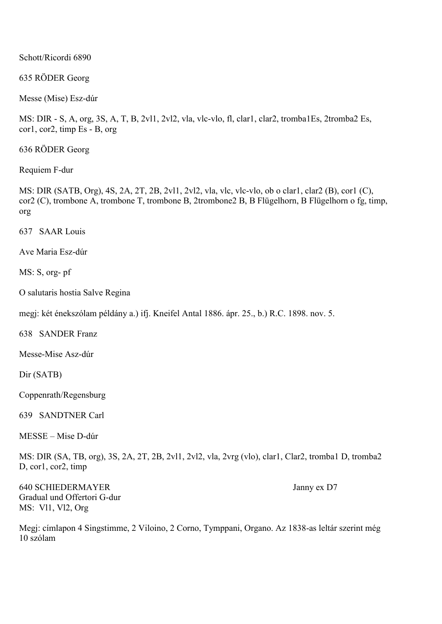Schott/Ricordi 6890

635 RÖDER Georg

Messe (Mise) Esz-dúr

MS: DIR - S, A, org, 3S, A, T, B, 2vl1, 2vl2, vla, vlc-vlo, fl, clar1, clar2, tromba1Es, 2tromba2 Es, cor1, cor2, timp Es - B, org

636 RÖDER Georg

Requiem F-dur

MS: DIR (SATB, Org), 4S, 2A, 2T, 2B, 2vl1, 2vl2, vla, vlc, vlc-vlo, ob o clar1, clar2 (B), cor1 (C), cor2 (C), trombone A, trombone T, trombone B, 2trombone2 B, B Flügelhorn, B Flügelhorn o fg, timp, org

637 SAAR Louis

Ave Maria Esz-dúr

MS: S, org- pf

O salutaris hostia Salve Regina

megj: két énekszólam példány a.) ifj. Kneifel Antal 1886. ápr. 25., b.) R.C. 1898. nov. 5.

638 SANDER Franz

Messe-Mise Asz-dúr

Dir (SATB)

Coppenrath/Regensburg

639 SANDTNER Carl

MESSE – Mise D-dúr

MS: DIR (SA, TB, org), 3S, 2A, 2T, 2B, 2vl1, 2vl2, vla, 2vrg (vlo), clar1, Clar2, tromba1 D, tromba2 D, cor1, cor2, timp

640 SCHIEDERMAYER Janny ex D7 Gradual und Offertori G-dur MS: Vl1, Vl2, Org

Megj: címlapon 4 Singstimme, 2 Viloino, 2 Corno, Tymppani, Organo. Az 1838-as leltár szerint még 10 szólam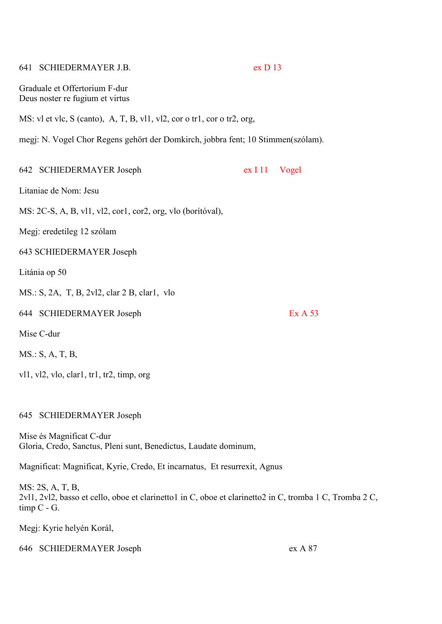# 641 SCHIEDERMAYER J.B. ex D 13 Graduale et Offertorium F-dur Deus noster re fugium et virtus MS: vl et vlc, S (canto), A, T, B, vl1, vl2, cor o tr1, cor o tr2, org, megj: N. Vogel Chor Regens gehört der Domkirch, jobbra fent; 10 Stimmen(szólam). 642 SCHIEDERMAYER Joseph ex I 11 Vogel Litaniae de Nom: Jesu MS: 2C-S, A, B, vl1, vl2, cor1, cor2, org, vlo (borítóval), Megj: eredetileg 12 szólam 643 SCHIEDERMAYER Joseph Litánia op 50 MS.: S, 2A, T, B, 2vl2, clar 2 B, clar1, vlo 644 SCHIEDERMAYER Joseph Ex A 53 Mise C-dur MS.: S, A, T, B,

vl1, vl2, vlo, clar1, tr1, tr2, timp, org

# 645 SCHIEDERMAYER Joseph

Mise és Magnificat C-dur Gloria, Credo, Sanctus, Pleni sunt, Benedictus, Laudate dominum,

Magnificat: Magnificat, Kyrie, Credo, Et incarnatus, Et resurrexit, Agnus

MS: 2S, A, T, B, 2vl1, 2vl2, basso et cello, oboe et clarinetto1 in C, oboe et clarinetto2 in C, tromba 1 C, Tromba 2 C, timp C - G.

Megj: Kyrie helyén Korál,

646 SCHIEDERMAYER Joseph ex A 87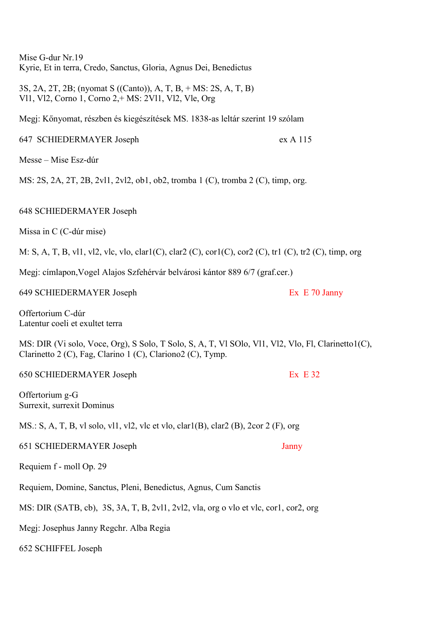Mise G-dur Nr.19 Kyrie, Et in terra, Credo, Sanctus, Gloria, Agnus Dei, Benedictus

3S, 2A, 2T, 2B; (nyomat S ((Canto)), A, T, B, + MS: 2S, A, T, B) Vl1, Vl2, Corno 1, Corno 2,+ MS: 2Vl1, Vl2, Vle, Org

Megj: Kőnyomat, részben és kiegészítések MS. 1838-as leltár szerint 19 szólam

647 SCHIEDERMAYER Joseph ex A 115

Messe – Mise Esz-dúr

MS: 2S, 2A, 2T, 2B, 2vl1, 2vl2, ob1, ob2, tromba 1 (C), tromba 2 (C), timp, org.

648 SCHIEDERMAYER Joseph

Missa in C (C-dúr mise)

M: S, A, T, B, vl1, vl2, vlc, vlo, clar1(C), clar2 (C), cor1(C), cor2 (C), tr1 (C), tr2 (C), timp, org

Megj: címlapon,Vogel Alajos Szfehérvár belvárosi kántor 889 6/7 (graf.cer.)

649 SCHIEDERMAYER Joseph Ex E 70 Janny

Offertorium C-dúr Latentur coeli et exultet terra

MS: DIR (Vi solo, Voce, Org), S Solo, T Solo, S, A, T, Vl SOlo, Vl1, Vl2, Vlo, Fl, Clarinetto1(C), Clarinetto 2 (C), Fag, Clarino 1 (C), Clariono2 (C), Tymp.

650 SCHIEDERMAYER Joseph Ex E 32

Offertorium g-G Surrexit, surrexit Dominus

MS.: S, A, T, B, vl solo, vl1, vl2, vlc et vlo, clar1(B), clar2 (B), 2cor 2 (F), org

651 SCHIEDERMAYER Joseph Janny

Requiem f - moll Op. 29

Requiem, Domine, Sanctus, Pleni, Benedictus, Agnus, Cum Sanctis

MS: DIR (SATB, cb), 3S, 3A, T, B, 2vl1, 2vl2, vla, org o vlo et vlc, cor1, cor2, org

Megj: Josephus Janny Regchr. Alba Regia

652 SCHIFFEL Joseph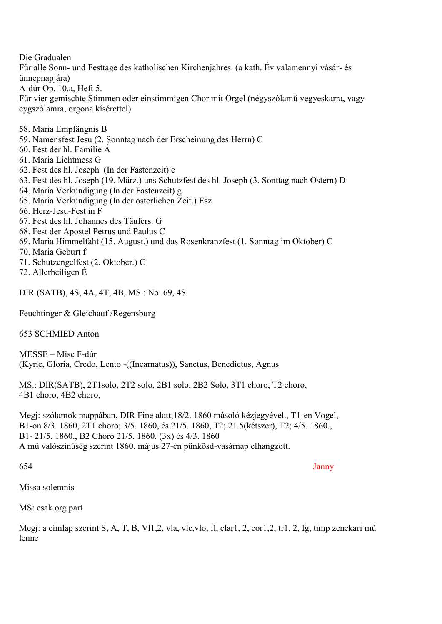Die Gradualen

Für alle Sonn- und Festtage des katholischen Kirchenjahres. (a kath. Év valamennyi vásár- és ünnepnapjára)

A-dúr Op. 10.a, Heft 5.

Für vier gemischte Stimmen oder einstimmigen Chor mit Orgel (négyszólamű vegyeskarra, vagy eygszólamra, orgona kísérettel).

- 58. Maria Empfängnis B
- 59. Namensfest Jesu (2. Sonntag nach der Erscheinung des Herrn) C
- 60. Fest der hl. Familie Á
- 61. Maria Lichtmess G
- 62. Fest des hl. Joseph (In der Fastenzeit) e
- 63. Fest des hl. Joseph (19. März.) uns Schutzfest des hl. Joseph (3. Sonttag nach Ostern) D
- 64. Maria Verkündigung (In der Fastenzeit) g
- 65. Maria Verkündigung (In der österlichen Zeit.) Esz
- 66. Herz-Jesu-Fest in F
- 67. Fest des hl. Johannes des Täufers. G
- 68. Fest der Apostel Petrus und Paulus C
- 69. Maria Himmelfaht (15. August.) und das Rosenkranzfest (1. Sonntag im Oktober) C
- 70. Maria Geburt f
- 71. Schutzengelfest (2. Oktober.) C
- 72. Allerheiligen É

DIR (SATB), 4S, 4A, 4T, 4B, MS.: No. 69, 4S

Feuchtinger & Gleichauf /Regensburg

653 SCHMIED Anton

MESSE – Mise F-dúr (Kyrie, Gloria, Credo, Lento -((Incarnatus)), Sanctus, Benedictus, Agnus

MS.: DIR(SATB), 2T1solo, 2T2 solo, 2B1 solo, 2B2 Solo, 3T1 choro, T2 choro, 4B1 choro, 4B2 choro,

Megj: szólamok mappában, DIR Fine alatt;18/2. 1860 másoló kézjegyével., T1-en Vogel, B1-on 8/3. 1860, 2T1 choro; 3/5. 1860, és 21/5. 1860, T2; 21.5(kétszer), T2; 4/5. 1860., B1- 21/5. 1860., B2 Choro 21/5. 1860. (3x) és 4/3. 1860 A mű valószínűség szerint 1860. május 27-én pünkösd-vasárnap elhangzott.

654 Janny

Missa solemnis

MS: csak org part

Megj: a címlap szerint S, A, T, B, Vl1,2, vla, vlc,vlo, fl, clar1, 2, cor1,2, tr1, 2, fg, timp zenekari mű lenne